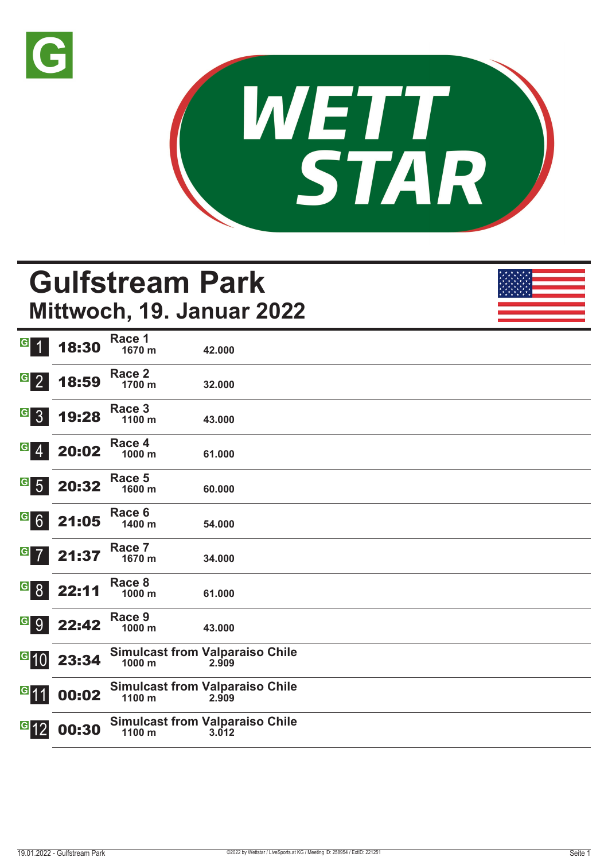



# **Gulfstream Park Mittwoch, 19. Januar 2022**

| $\vert G \vert$                                                   | 18:30 | Race 1<br>1670 m | 42.000                                          |  |
|-------------------------------------------------------------------|-------|------------------|-------------------------------------------------|--|
| $\begin{array}{ c c c }\n\hline\n9 & 2\n\end{array}$              | 18:59 | Race 2<br>1700 m | 32.000                                          |  |
| $G_{3}$                                                           | 19:28 | Race 3<br>1100 m | 43.000                                          |  |
| $G$ 4                                                             | 20:02 | Race 4<br>1000 m | 61.000                                          |  |
| $G$ 5                                                             | 20:32 | Race 5<br>1600 m | 60.000                                          |  |
| $G$ 6                                                             | 21:05 | Race 6<br>1400 m | 54.000                                          |  |
| $G$ $7$                                                           | 21:37 | Race 7<br>1670 m | 34.000                                          |  |
| $\begin{array}{ c c } \hline \mathbf{G} & \mathbf{8} \end{array}$ | 22:11 | Race 8<br>1000 m | 61.000                                          |  |
| G 9                                                               | 22:42 | Race 9<br>1000 m | 43.000                                          |  |
| $\overline{G}$ 10                                                 | 23:34 | 1000 m           | <b>Simulcast from Valparaiso Chile</b><br>2.909 |  |
| $G$ 11                                                            | 00:02 | 1100 m           | <b>Simulcast from Valparaiso Chile</b><br>2.909 |  |
| $G$ 12                                                            | 00:30 | 1100 m           | <b>Simulcast from Valparaiso Chile</b><br>3.012 |  |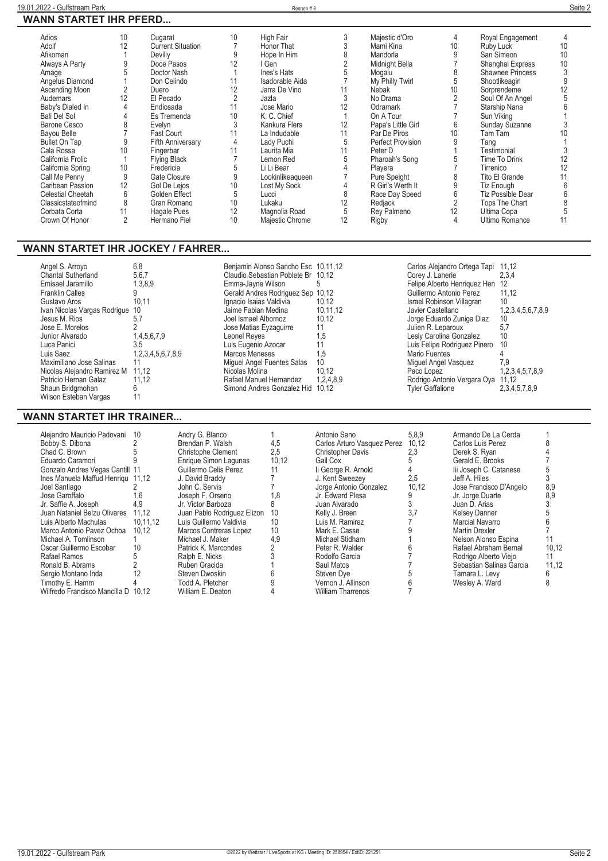| Adios                    | 10 | Cugarat                  | 10 | High Fair        |    | Majestic d'Oro     |    | Royal Engagement        | 4  |
|--------------------------|----|--------------------------|----|------------------|----|--------------------|----|-------------------------|----|
| Adolf                    | 12 | <b>Current Situation</b> |    | Honor That       |    | Mami Kina          | 10 | Ruby Luck               | 10 |
| Afikoman                 |    | Devilly                  |    | Hope In Him      |    | Mandorla           |    | San Simeon              | 10 |
| Always A Party           |    | Doce Pasos               | 12 | l Gen-           |    | Midnight Bella     |    | Shanghai Express        | 10 |
| Amage                    |    | Doctor Nash              |    | Ines's Hats      |    | Mogalu             |    | <b>Shawnee Princess</b> |    |
| Angelus Diamond          |    | Don Celindo              |    | Isadorable Aida  |    | My Philly Twirl    |    | Shootlikeagirl          |    |
| Ascending Moon           |    | Duero                    | 12 | Jarra De Vino    |    | Nebak              | 10 | Sorprendeme             |    |
| Audemars                 | 12 | El Pecado                |    | Jazla            |    | No Drama           |    | Soul Of An Angel        |    |
| Baby's Dialed In         |    | Endiosada                | 11 | Jose Mario       | 12 | Odramark           |    | Starship Nana           |    |
| <b>Bali Del Sol</b>      |    | Es Tremenda              | 10 | K. C. Chief      |    | On A Tour          |    | Sun Viking              |    |
| Barone Cesco             |    | Evelyn                   |    | Kankura Flers    | 12 | Papa's Little Girl | 6  | Sunday Suzanne          |    |
| Bayou Belle              |    | Fast Court               |    | La Indudable     | 11 | Par De Piros       | 10 | Tam Tam                 |    |
| <b>Bullet On Tap</b>     |    | <b>Fifth Anniversary</b> | 4  | Lady Puchi       | 5  | Perfect Provision  |    | Tanq                    |    |
| Cala Rossa               | 10 | Fingerbar                |    | Laurita Mia      |    | Peter D            |    | Testimonial             |    |
| California Frolic        |    | <b>Flying Black</b>      |    | Lemon Red        |    | Pharoah's Song     |    | Time To Drink           | 12 |
| California Spring        | 10 | Fredericia               |    | Li Li Bear       |    | Playera            |    | Tirrenico               | 12 |
| Call Me Penny            | 9  | Gate Closure             |    | Lookinlikeaqueen |    | Pure Speight       |    | Tito El Grande          |    |
| Caribean Passion         | 12 | Gol De Lejos             | 10 | Lost My Sock     |    | R Girl's Werth It  |    | Tiz Enough              |    |
| <b>Celestial Cheetah</b> | 6  | Golden Effect            | 5  | Lucci            |    | Race Day Speed     | 6  | Tiz Possible Dear       |    |
| Classicstateofmind       | 8  | Gran Romano              | 10 | Lukaku           | 12 | Redjack            |    | Tops The Chart          |    |
| Corbata Corta            | 11 | Hagale Pues              | 12 | Magnolia Road    | 5  | Rey Palmeno        | 12 | Ultima Copa             |    |
| Crown Of Honor           |    | Hermano Fiel             | 10 | Majestic Chrome  | 12 | Rigby              |    | <b>Ultimo Romance</b>   |    |
|                          |    |                          |    |                  |    |                    |    |                         |    |

### **WANN STARTET IHR JOCKEY / FAHRER...**

| Angel S. Arroyo<br><b>Chantal Sutherland</b><br>Emisael Jaramillo<br><b>Franklin Calles</b><br>Gustavo Aros<br>Ivan Nicolas Vargas Rodrigue 10<br>Jesus M. Rios<br>Jose E. Morelos<br>Junior Alvarado<br>Luca Panici<br>Luis Saez<br>Maximiliano Jose Salinas<br>Nicolas Alejandro Ramirez M<br>Patricio Hernan Galaz<br>Shaun Bridgmohan<br>Wilson Esteban Vargas | 6,8<br>5,6,7<br>1,3,8,9<br>10.11<br>5.7<br>1,4,5,6,7,9<br>3.5<br>1,2,3,4,5,6,7,8,9<br>11.12<br>11.12 | Benjamin Alonso Sancho Esc 10,11,12<br>Claudio Sebastian Poblete Br 10.12<br>Emma-Jayne Wilson<br>Gerald Andres Rodriguez Sep 10,12<br>Ignacio Isaias Valdivia<br>Jaime Fabian Medina<br>Joel Ismael Albornoz<br>Jose Matias Eyzaguirre<br>Leonel Reyes<br>Luis Eugenio Azocar<br>Marcos Meneses<br>Miquel Angel Fuentes Salas<br>Nicolas Molina<br>Rafael Manuel Hernandez<br>Simond Andres Gonzalez Hid | 10.12<br>10.11.12<br>10.12<br>11<br>1,5<br>1,5<br>10<br>10.12<br>1.2.4.8.9<br>10.12 | Carlos Alejandro Ortega Tapi<br>Corey J. Lanerie<br>Felipe Alberto Henriquez Hen<br>Guillermo Antonio Perez<br>Israel Robinson Villagran<br>Javier Castellano<br>Jorge Eduardo Zuniga Diaz<br>Julien R. Leparoux<br>Lesly Carolina Gonzalez<br>Luis Felipe Rodriquez Pinero<br>Mario Fuentes<br>Miquel Angel Vasquez<br>Paco Lopez<br>Rodrigo Antonio Vergara Oya<br><b>Tyler Gaffalione</b> | 11.12<br>2,3,4<br>12<br>11.12<br>10<br>1,2,3,4,5,6,7,8,9<br>10<br>5,7<br>10<br>10<br>7.9<br>1,2,3,4,5,7,8,9<br>11.12<br>2,3,4,5,7,8,9 |
|--------------------------------------------------------------------------------------------------------------------------------------------------------------------------------------------------------------------------------------------------------------------------------------------------------------------------------------------------------------------|------------------------------------------------------------------------------------------------------|-----------------------------------------------------------------------------------------------------------------------------------------------------------------------------------------------------------------------------------------------------------------------------------------------------------------------------------------------------------------------------------------------------------|-------------------------------------------------------------------------------------|----------------------------------------------------------------------------------------------------------------------------------------------------------------------------------------------------------------------------------------------------------------------------------------------------------------------------------------------------------------------------------------------|---------------------------------------------------------------------------------------------------------------------------------------|
|--------------------------------------------------------------------------------------------------------------------------------------------------------------------------------------------------------------------------------------------------------------------------------------------------------------------------------------------------------------------|------------------------------------------------------------------------------------------------------|-----------------------------------------------------------------------------------------------------------------------------------------------------------------------------------------------------------------------------------------------------------------------------------------------------------------------------------------------------------------------------------------------------------|-------------------------------------------------------------------------------------|----------------------------------------------------------------------------------------------------------------------------------------------------------------------------------------------------------------------------------------------------------------------------------------------------------------------------------------------------------------------------------------------|---------------------------------------------------------------------------------------------------------------------------------------|

### **WANN STARTET IHR TRAINER...**

| Giaudio Sepastian Popiete Br | 10. IZ    |
|------------------------------|-----------|
| Emma-Jayne Wilson            | 5         |
| Gerald Andres Rodriguez Sep  | 10,12     |
| Ignacio Isaias Valdivia      | 10,12     |
| Jaime Fabian Medina          | 10,11,12  |
| Joel Ismael Albornoz         | 10,12     |
| Jose Matias Eyzaguirre       | 11        |
| Leonel Reyes                 | 1,5       |
| Luis Eugenio Azocar          | 11        |
| <b>Marcos Meneses</b>        | 1.5       |
| Miquel Angel Fuentes Salas   | 10        |
| Nicolas Molina               | 10,12     |
| Rafael Manuel Hernandez      | 1,2,4,8,9 |
| Simond Andres Gonzalez Hid   | 10.12     |

| Carlos Alejandro Ortega Tapi | 11,12             |
|------------------------------|-------------------|
| Corey J. Lanerie             | 2,3,4             |
| Felipe Alberto Henriquez Hen | 12                |
| Guillermo Antonio Perez      | 11,12             |
| Israel Robinson Villagran    | 10                |
| Javier Castellano            | 1,2,3,4,5,6,7,8,9 |
| Jorge Eduardo Zuniga Diaz    | 10                |
| Julien R. Leparoux           | 5,7               |
| Lesly Carolina Gonzalez      | 10                |
| Luis Felipe Rodriguez Pinero | 10                |
| Mario Fuentes                | 4                 |
| Miguel Angel Vasquez         | 7.9               |
| Paco Lopez                   | 1,2,3,4,5,7,8,9   |
| Rodrigo Antonio Vergara Oya  | 11,12             |
| <b>Tyler Gaffalione</b>      | 2,3,4,5,7,8,9     |

| Alejandro Mauricio Padovani 10      |          | Andry G. Blanco             |       | Antonio Sano                | 5,8,9 | Armando De La Cerda      |       |
|-------------------------------------|----------|-----------------------------|-------|-----------------------------|-------|--------------------------|-------|
| Bobby S. Dibona                     |          | Brendan P. Walsh            | 4,5   | Carlos Arturo Vasquez Perez | 10.12 | Carlos Luis Perez        |       |
| Chad C. Brown                       |          | Christophe Clement          | 2,5   | <b>Christopher Davis</b>    | 2,3   | Derek S. Ryan            |       |
| Eduardo Caramori                    |          | Enrique Simon Lagunas       | 10,12 | Gail Cox                    |       | Gerald E. Brooks         |       |
| Gonzalo Andres Vegas Cantill 11     |          | Guillermo Celis Perez       |       | li George R. Arnold         |       | lij Joseph C. Catanese   |       |
| Ines Manuela Maffud Henrigu 11.12   |          | J. David Braddy             |       | J. Kent Sweezev             | 2.5   | Jeff A. Hiles            |       |
| Joel Santiago                       |          | John C. Servis              |       | Jorge Antonio Gonzalez      | 10,12 | Jose Francisco D'Angelo  | 8,9   |
| Jose Garoffalo                      | 1.6      | Joseph F. Orseno            | 1,8   | Jr. Edward Plesa            |       | Jr. Jorge Duarte         | 8,9   |
| Jr. Saffie A. Joseph                |          | Jr. Victor Barboza          |       | Juan Alvarado               |       | Juan D. Arias            |       |
| Juan Nataniel Belzu Olivares        | 11.12    | Juan Pablo Rodriguez Elizon | 10    | Kelly J. Breen              |       | <b>Kelsev Danner</b>     |       |
| Luis Alberto Machulas               | 10.11.12 | Luis Guillermo Valdivia     | 10    | Luis M. Ramirez             |       | Marcial Navarro          |       |
| Marco Antonio Pavez Ochoa           | 10.12    | Marcos Contreras Lopez      | 10    | Mark E. Casse               |       | Martin Drexler           |       |
| Michael A. Tomlinson                |          | Michael J. Maker            | 4.9   | Michael Stidham             |       | Nelson Alonso Espina     |       |
| Oscar Guillermo Escobar             | 10       | Patrick K. Marcondes        |       | Peter R. Walder             |       | Rafael Abraham Bernal    | 10,12 |
| Rafael Ramos                        |          | Ralph E. Nicks              |       | Rodolfo Garcia              |       | Rodrigo Alberto Viejo    | 11    |
| Ronald B. Abrams                    |          | Ruben Gracida               |       | Saul Matos                  |       | Sebastian Salinas Garcia | 11.12 |
| Sergio Montano Inda                 |          | Steven Dwoskin              |       | Steven Dve                  |       | Tamara L. Levy           |       |
| Timothy E. Hamm                     |          | Todd A. Pletcher            |       | Vernon J. Allinson          |       | Wesley A. Ward           |       |
| Wilfredo Francisco Mancilla D 10.12 |          | William E. Deaton           |       | <b>William Tharrenos</b>    |       |                          |       |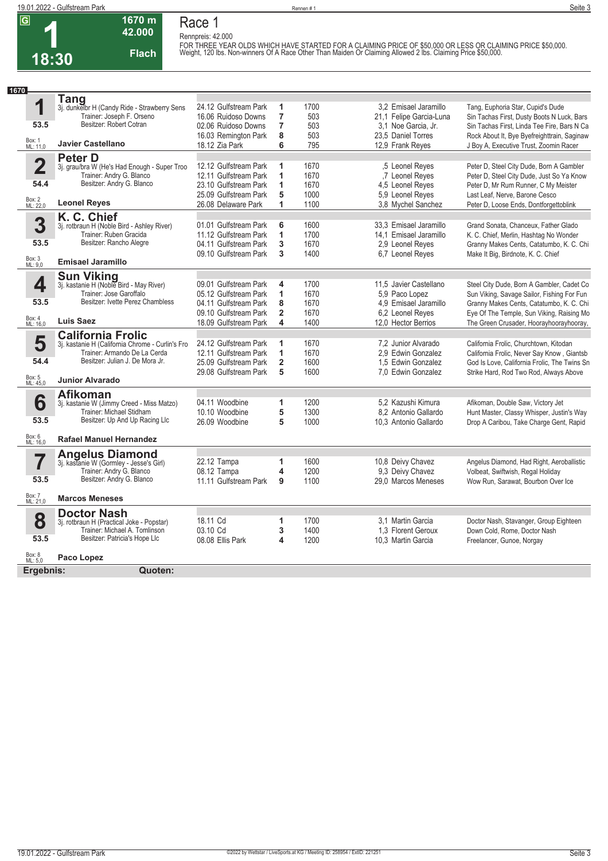**1 18:30**

**Race 1 Rennpreis: 42.000**

**42.000 Flach**

**1670 m**

FOR THREE YEAR OLDS WHICH HAVE STARTED FOR A CLAIMING PRICE OF \$50,000 OR LESS OR CLAIMING PRICE \$50,000.<br>Weight, 120 Ibs. Non-winners Of A Race Other Than Maiden Or Claiming Allowed 2 Ibs. Claiming Price \$50,000.

| 1670                    |                                                                       |                                  |                         |      |                                            |                                                                                      |
|-------------------------|-----------------------------------------------------------------------|----------------------------------|-------------------------|------|--------------------------------------------|--------------------------------------------------------------------------------------|
|                         | <b>Tang</b>                                                           |                                  |                         |      |                                            |                                                                                      |
| 1                       | 3j. dunkelbr H (Candy Ride - Strawberry Sens                          | 24.12 Gulfstream Park            | 1                       | 1700 | 3.2 Emisael Jaramillo                      | Tang, Euphoria Star, Cupid's Dude                                                    |
|                         | Trainer: Joseph F. Orseno                                             | 16.06 Ruidoso Downs              | $\overline{7}$          | 503  | 21,1 Felipe Garcia-Luna                    | Sin Tachas First, Dusty Boots N Luck, Bars                                           |
| 53.5                    | Besitzer: Robert Cotran                                               | 02.06 Ruidoso Downs              | $\overline{7}$          | 503  | 3.1 Noe Garcia, Jr.                        | Sin Tachas First, Linda Tee Fire, Bars N Ca                                          |
|                         |                                                                       | 16.03 Remington Park             | 8                       | 503  | 23,5 Daniel Torres                         | Rock About It, Bye Byefreighttrain, Saginaw                                          |
| Box: 1<br>ML: 11,0      | <b>Javier Castellano</b>                                              | 18.12 Zia Park                   | 6                       | 795  | 12,9 Frank Reyes                           | J Boy A, Executive Trust, Zoomin Racer                                               |
|                         | <b>Peter D</b>                                                        |                                  |                         |      |                                            |                                                                                      |
| $\overline{\mathbf{2}}$ | 3j. grau/bra W (He's Had Enough - Super Troo                          | 12.12 Gulfstream Park            | 1                       | 1670 | .5 Leonel Reves                            | Peter D, Steel City Dude, Born A Gambler                                             |
|                         | Trainer: Andry G. Blanco                                              | 12.11 Gulfstream Park            | 1                       | 1670 | .7 Leonel Reyes                            | Peter D, Steel City Dude, Just So Ya Know                                            |
| 54.4                    | Besitzer: Andry G. Blanco                                             | 23.10 Gulfstream Park            | 1                       | 1670 | 4,5 Leonel Reves                           | Peter D, Mr Rum Runner, C My Meister                                                 |
|                         |                                                                       | 25.09 Gulfstream Park            | 5                       | 1000 | 5.9 Leonel Reves                           | Last Leaf, Nerve, Barone Cesco                                                       |
| Box: 2<br>ML: 22,0      | <b>Leonel Reyes</b>                                                   | 26.08 Delaware Park              | 1                       | 1100 | 3.8 Mychel Sanchez                         | Peter D, Loose Ends, Dontforgettoblink                                               |
|                         | K. C. Chief                                                           |                                  |                         |      |                                            |                                                                                      |
| 3                       | 3j. rotbraun H (Noble Bird - Ashley River)                            | 01.01 Gulfstream Park            | 6                       | 1600 | 33,3 Emisael Jaramillo                     | Grand Sonata, Chanceux, Father Glado                                                 |
|                         | Trainer: Ruben Gracida                                                | 11.12 Gulfstream Park            | 1                       | 1700 | 14.1 Emisael Jaramillo                     | K. C. Chief, Merlin, Hashtag No Wonder                                               |
| 53.5                    | Besitzer: Rancho Alegre                                               | 04.11 Gulfstream Park            | 3                       | 1670 | 2.9 Leonel Reves                           | Granny Makes Cents, Catatumbo, K. C. Chi                                             |
|                         |                                                                       | 09.10 Gulfstream Park            | 3                       | 1400 | 6.7 Leonel Reves                           | Make It Big, Birdnote, K. C. Chief                                                   |
| Box: 3<br>ML: 9,0       | <b>Emisael Jaramillo</b>                                              |                                  |                         |      |                                            |                                                                                      |
|                         | Sun Viking<br>3j. kastanie H (Noble Bird - May River)                 |                                  |                         |      |                                            |                                                                                      |
| 4                       |                                                                       | 09.01 Gulfstream Park            | 4                       | 1700 | 11,5 Javier Castellano                     | Steel City Dude, Born A Gambler, Cadet Co                                            |
|                         | Trainer: Jose Garoffalo                                               | 05.12 Gulfstream Park            | 1                       | 1670 | 5,9 Paco Lopez                             | Sun Viking, Savage Sailor, Fishing For Fun                                           |
| 53.5                    | Besitzer: Ivette Perez Chambless                                      | 04.11 Gulfstream Park            | 8                       | 1670 | 4.9 Emisael Jaramillo                      | Granny Makes Cents, Catatumbo, K. C. Chi                                             |
|                         |                                                                       | 09.10 Gulfstream Park            | $\overline{2}$          | 1670 | 6,2 Leonel Reyes                           | Eye Of The Temple, Sun Viking, Raising Mo                                            |
| Box: 4<br>ML: 16,0      | Luis Saez                                                             | 18.09 Gulfstream Park            | 4                       | 1400 | 12,0 Hector Berrios                        | The Green Crusader, Hoorayhoorayhooray,                                              |
|                         | <b>California Frolic</b>                                              |                                  |                         |      |                                            |                                                                                      |
| 5                       | 3j. kastanie H (California Chrome - Curlin's Fro                      | 24.12 Gulfstream Park            | 1                       | 1670 | 7.2 Junior Alvarado                        | California Frolic, Churchtown, Kitodan                                               |
| 54.4                    | Trainer: Armando De La Cerda<br>Besitzer: Julian J. De Mora Jr.       | 12.11 Gulfstream Park            | 1                       | 1670 | 2.9 Edwin Gonzalez                         | California Frolic, Never Say Know, Giantsb                                           |
|                         |                                                                       | 25.09 Gulfstream Park            | $\overline{2}$          | 1600 | 1,5 Edwin Gonzalez                         | God Is Love, California Frolic, The Twins Sn                                         |
| Box: 5<br>ML: 45,0      | <b>Junior Alvarado</b>                                                | 29.08 Gulfstream Park            | 5                       | 1600 | 7,0 Edwin Gonzalez                         | Strike Hard, Rod Two Rod, Always Above                                               |
|                         |                                                                       |                                  |                         |      |                                            |                                                                                      |
|                         | <b>Afikoman</b>                                                       |                                  |                         | 1200 |                                            |                                                                                      |
| 6                       | 3j. kastanie W (Jimmy Creed - Miss Matzo)<br>Trainer: Michael Stidham | 04.11 Woodbine<br>10.10 Woodbine | 1<br>5                  | 1300 | 5.2 Kazushi Kimura<br>8.2 Antonio Gallardo | Afikoman, Double Saw, Victory Jet                                                    |
| 53.5                    | Besitzer: Up And Up Racing Llc                                        | 26.09 Woodbine                   | 5                       | 1000 | 10,3 Antonio Gallardo                      | Hunt Master, Classy Whisper, Justin's Way<br>Drop A Caribou, Take Charge Gent, Rapid |
|                         |                                                                       |                                  |                         |      |                                            |                                                                                      |
| Box: 6<br>ML: 16,0      | <b>Rafael Manuel Hernandez</b>                                        |                                  |                         |      |                                            |                                                                                      |
|                         | <b>Angelus Diamond</b>                                                |                                  |                         |      |                                            |                                                                                      |
| 7                       | 3j. kastanie W (Gormley - Jesse's Girl)                               | 22.12 Tampa                      | 1                       | 1600 | 10.8 Deivy Chavez                          | Angelus Diamond, Had Right, Aeroballistic                                            |
|                         | Trainer: Andry G. Blanco                                              | 08.12 Tampa                      | $\overline{\mathbf{4}}$ | 1200 | 9,3 Deivy Chavez                           | Volbeat, Swiftwish, Regal Holiday                                                    |
| 53.5                    | Besitzer: Andry G. Blanco                                             | 11.11 Gulfstream Park            | 9                       | 1100 | 29.0 Marcos Meneses                        | Wow Run, Sarawat, Bourbon Over Ice                                                   |
| Box: 7<br>ML: 21,0      | <b>Marcos Meneses</b>                                                 |                                  |                         |      |                                            |                                                                                      |
|                         | <b>Doctor Nash</b>                                                    |                                  |                         |      |                                            |                                                                                      |
| 8                       | 3j. rotbraun H (Practical Joke - Popstar)                             | 18.11 Cd                         | 1                       | 1700 | 3.1 Martin Garcia                          | Doctor Nash, Stavanger, Group Eighteen                                               |
|                         | Trainer: Michael A. Tomlinson                                         | 03.10 Cd                         | 3                       | 1400 | 1.3 Florent Geroux                         | Down Cold, Rome, Doctor Nash                                                         |
| 53.5                    | Besitzer: Patricia's Hope Llc                                         | 08.08 Ellis Park                 | 4                       | 1200 | 10.3 Martin Garcia                         | Freelancer, Gunoe, Norgay                                                            |
| Box: 8<br>ML: 5,0       | Paco Lopez                                                            |                                  |                         |      |                                            |                                                                                      |
| Ergebnis:               | Quoten:                                                               |                                  |                         |      |                                            |                                                                                      |
|                         |                                                                       |                                  |                         |      |                                            |                                                                                      |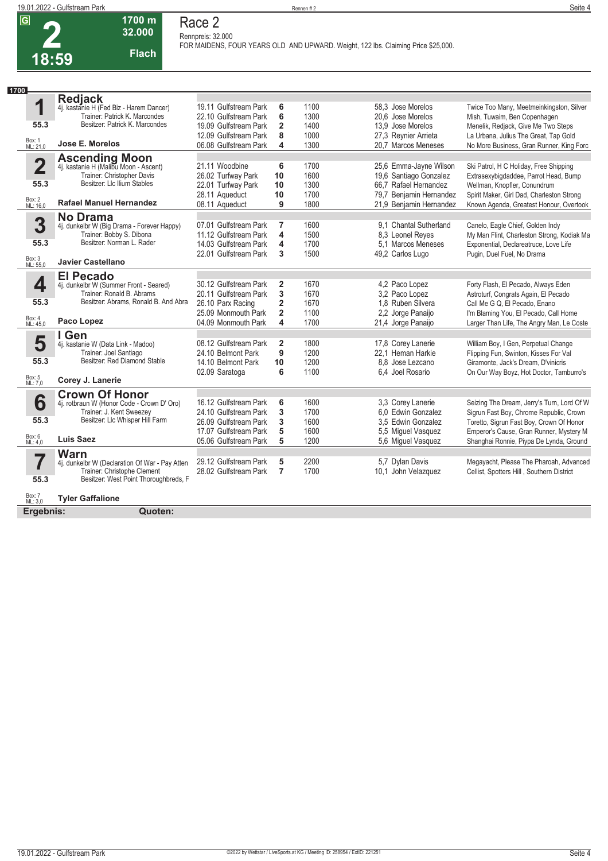| 18:59 |  |
|-------|--|



**Rennpreis: 32.000**

**FOR MAIDENS, FOUR YEARS OLD AND UPWARD. Weight, 122 lbs. Claiming Price \$25,000.** 

| 1700               |                                                                     |                                                |                |              |                                             |                                                                                   |
|--------------------|---------------------------------------------------------------------|------------------------------------------------|----------------|--------------|---------------------------------------------|-----------------------------------------------------------------------------------|
|                    | <b>Redjack</b>                                                      |                                                |                |              |                                             |                                                                                   |
| 1                  | 4j. kastanie H (Fed Biz - Harem Dancer)                             | 19.11 Gulfstream Park                          | 6              | 1100         | 58.3 Jose Morelos                           | Twice Too Many, Meetmeinkingston, Silver                                          |
| 55.3               | Trainer: Patrick K. Marcondes<br>Besitzer: Patrick K. Marcondes     | 22.10 Gulfstream Park                          | 6              | 1300         | 20.6 Jose Morelos                           | Mish, Tuwaim, Ben Copenhagen                                                      |
|                    |                                                                     | 19.09 Gulfstream Park                          | $\overline{2}$ | 1400         | 13.9 Jose Morelos                           | Menelik, Redjack, Give Me Two Steps                                               |
| Box: 1<br>ML: 21,0 | Jose E. Morelos                                                     | 12.09 Gulfstream Park<br>06.08 Gulfstream Park | 8<br>4         | 1000<br>1300 | 27,3 Reynier Arrieta<br>20.7 Marcos Meneses | La Urbana, Julius The Great, Tap Gold<br>No More Business, Gran Runner, King Forc |
|                    |                                                                     |                                                |                |              |                                             |                                                                                   |
| 2                  | <b>Ascending Moon</b><br>4j. kastanie H (Malibu Moon - Ascent)      | 21.11 Woodbine                                 | 6              | 1700         | 25,6 Emma-Jayne Wilson                      | Ski Patrol, H C Holiday, Free Shipping                                            |
|                    | Trainer: Christopher Davis                                          | 26.02 Turfway Park                             | 10             | 1600         | 19,6 Santiago Gonzalez                      | Extrasexybigdaddee, Parrot Head, Bump                                             |
| 55.3               | Besitzer: Llc Ilium Stables                                         | 22.01 Turfway Park                             | 10             | 1300         | 66.7 Rafael Hernandez                       | Wellman, Knopfler, Conundrum                                                      |
|                    |                                                                     | 28.11 Aqueduct                                 | 10             | 1700         | 79,7 Benjamin Hernandez                     | Spirit Maker, Girl Dad, Charleston Strong                                         |
| Box: 2<br>ML: 16,0 | <b>Rafael Manuel Hernandez</b>                                      | 08.11 Aqueduct                                 | 9              | 1800         | 21,9 Benjamin Hernandez                     | Known Agenda, Greatest Honour, Overtook                                           |
|                    | <b>No Drama</b>                                                     |                                                |                |              |                                             |                                                                                   |
| 3                  | 4j. dunkelbr W (Big Drama - Forever Happy)                          | 07.01 Gulfstream Park                          | 7              | 1600         | 9.1 Chantal Sutherland                      | Canelo, Eagle Chief, Golden Indy                                                  |
|                    | Trainer: Bobby S. Dibona                                            | 11.12 Gulfstream Park                          | 4              | 1500         | 8,3 Leonel Reyes                            | My Man Flint, Charleston Strong, Kodiak Ma                                        |
| 55.3               | Besitzer: Norman L. Rader                                           | 14.03 Gulfstream Park                          | 4              | 1700         | 5.1 Marcos Meneses                          | Exponential, Declareatruce, Love Life                                             |
| Box: 3<br>ML: 55,0 | <b>Javier Castellano</b>                                            | 22.01 Gulfstream Park                          | 3              | 1500         | 49,2 Carlos Lugo                            | Pugin, Duel Fuel, No Drama                                                        |
|                    |                                                                     |                                                |                |              |                                             |                                                                                   |
|                    | <b>El Pecado</b>                                                    | 30.12 Gulfstream Park                          | $\overline{2}$ | 1670         |                                             |                                                                                   |
| 4                  | 4j. dunkelbr W (Summer Front - Seared)<br>Trainer: Ronald B. Abrams | 20.11 Gulfstream Park                          | 3              | 1670         | 4,2 Paco Lopez<br>3.2 Paco Lopez            | Forty Flash, El Pecado, Always Eden                                               |
| 55.3               | Besitzer: Abrams, Ronald B. And Abra                                | 26.10 Parx Racing                              | $\overline{2}$ | 1670         | 1.8 Ruben Silvera                           | Astroturf, Congrats Again, El Pecado<br>Call Me G Q. El Pecado. Enano             |
|                    |                                                                     | 25.09 Monmouth Park                            | $\overline{2}$ | 1100         | 2,2 Jorge Panaijo                           | I'm Blaming You, El Pecado, Call Home                                             |
| Box: 4<br>ML: 45,0 | Paco Lopez                                                          | 04.09 Monmouth Park                            | 4              | 1700         | 21,4 Jorge Panaijo                          | Larger Than Life, The Angry Man, Le Coste                                         |
|                    | I Gen                                                               |                                                |                |              |                                             |                                                                                   |
| 5                  | 4j. kastanie W (Data Link - Madoo)                                  | 08.12 Gulfstream Park                          | $\overline{2}$ | 1800         | 17,8 Corey Lanerie                          | William Boy, I Gen, Perpetual Change                                              |
|                    | Trainer: Joel Santiago                                              | 24.10 Belmont Park                             | 9              | 1200         | 22.1 Heman Harkie                           | Flipping Fun, Swinton, Kisses For Val                                             |
| 55.3               | Besitzer: Red Diamond Stable                                        | 14.10 Belmont Park                             | 10             | 1200         | 8.8 Jose Lezcano                            | Giramonte, Jack's Dream, D'vinicris                                               |
|                    |                                                                     | 02.09 Saratoga                                 | 6              | 1100         | 6.4 Joel Rosario                            | On Our Way Boyz, Hot Doctor, Tamburro's                                           |
| Box: 5<br>ML: 7,0  | Corey J. Lanerie                                                    |                                                |                |              |                                             |                                                                                   |
|                    | <b>Crown Of Honor</b>                                               |                                                |                |              |                                             |                                                                                   |
| 6                  | 4j. rotbraun W (Honor Code - Crown D' Oro)                          | 16.12 Gulfstream Park                          | 6              | 1600         | 3,3 Corey Lanerie                           | Seizing The Dream, Jerry's Turn, Lord Of W                                        |
|                    | Trainer: J. Kent Sweezey<br>Besitzer: Llc Whisper Hill Farm         | 24.10 Gulfstream Park                          | 3              | 1700         | 6.0 Edwin Gonzalez                          | Sigrun Fast Boy, Chrome Republic, Crown                                           |
| 55.3               |                                                                     | 26.09 Gulfstream Park                          | 3              | 1600         | 3.5 Edwin Gonzalez                          | Toretto, Sigrun Fast Boy, Crown Of Honor                                          |
| Box: 6<br>ML: 4,0  | <b>Luis Saez</b>                                                    | 17.07 Gulfstream Park                          | 5              | 1600         | 5,5 Miguel Vasquez                          | Emperor's Cause, Gran Runner, Mystery M                                           |
|                    |                                                                     | 05.06 Gulfstream Park                          | 5              | 1200         | 5,6 Miguel Vasquez                          | Shanghai Ronnie, Piypa De Lynda, Ground                                           |
| 7                  | <b>Warn</b><br>4j. dunkelbr W (Declaration Of War - Pay Atten       | 29.12 Gulfstream Park                          | 5              | 2200         | 5,7 Dylan Davis                             | Megayacht, Please The Pharoah, Advanced                                           |
|                    | Trainer: Christophe Clement                                         | 28.02 Gulfstream Park                          | $\overline{7}$ | 1700         | 10.1 John Velazquez                         | Cellist, Spotters Hill, Southern District                                         |
| 55.3               | Besitzer: West Point Thoroughbreds, F                               |                                                |                |              |                                             |                                                                                   |
|                    |                                                                     |                                                |                |              |                                             |                                                                                   |
| Box: 7<br>ML: 3,0  | <b>Tyler Gaffalione</b>                                             |                                                |                |              |                                             |                                                                                   |
| Ergebnis:          | Quoten:                                                             |                                                |                |              |                                             |                                                                                   |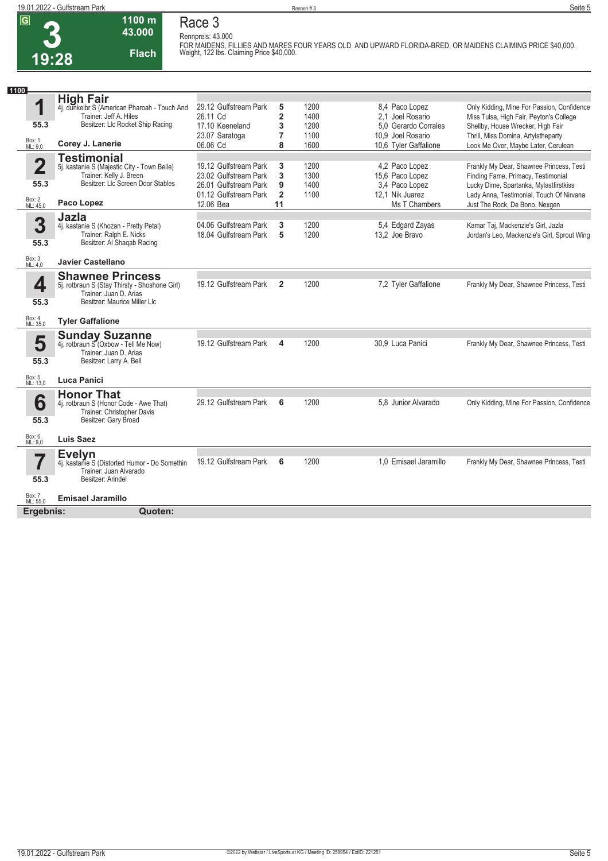**Race 3 Rennpreis: 43.000**

**1100 m 43.000** 

| ושו                     | 1 I VV 111<br>43.000<br><b>Flach</b><br>19:28                 | Race o<br>Rennpreis: 43.000 |                         |      |                       | FOR MAIDENS, FILLIES AND MARES FOUR YEARS OLD AND UPWARD FLORIDA-BRED, OR MAIDENS CLAIMING PRICE \$40,000.<br>Weight, 122 lbs. Claiming Price \$40,000. |
|-------------------------|---------------------------------------------------------------|-----------------------------|-------------------------|------|-----------------------|---------------------------------------------------------------------------------------------------------------------------------------------------------|
|                         |                                                               |                             |                         |      |                       |                                                                                                                                                         |
| 1100                    | <b>High Fair</b>                                              |                             |                         |      |                       |                                                                                                                                                         |
| 1                       | 4j. dunkelbr S (American Pharoah - Touch And                  | 29.12 Gulfstream Park       | 5                       | 1200 | 8.4 Paco Lopez        | Only Kidding, Mine For Passion, Confidence                                                                                                              |
|                         | Trainer: Jeff A. Hiles                                        | 26.11 Cd                    | $\overline{\mathbf{2}}$ | 1400 | 2.1 Joel Rosario      | Miss Tulsa, High Fair, Peyton's College                                                                                                                 |
| 55.3                    | Besitzer: LIc Rocket Ship Racing                              | 17.10 Keeneland             | 3                       | 1200 | 5.0 Gerardo Corrales  | Shellby, House Wrecker, High Fair                                                                                                                       |
|                         |                                                               | 23.07 Saratoga              | $\overline{7}$          | 1100 | 10.9 Joel Rosario     | Thrill, Miss Domina, Artyistheparty                                                                                                                     |
| Box: 1<br>ML: 9,0       | Corey J. Lanerie                                              | 06.06 Cd                    | 8                       | 1600 | 10,6 Tyler Gaffalione | Look Me Over, Maybe Later, Cerulean                                                                                                                     |
|                         | <b>Testimonial</b>                                            |                             |                         |      |                       |                                                                                                                                                         |
| $\overline{\mathbf{2}}$ | 5j. kastanie S (Majestic City - Town Belle)                   | 19.12 Gulfstream Park       | 3                       | 1200 | 4,2 Paco Lopez        | Frankly My Dear, Shawnee Princess, Testi                                                                                                                |
|                         | Trainer: Kelly J. Breen                                       | 23.02 Gulfstream Park       | 3                       | 1300 | 15,6 Paco Lopez       | Finding Fame, Primacy, Testimonial                                                                                                                      |
| 55.3                    | Besitzer: Llc Screen Door Stables                             | 26.01 Gulfstream Park       | 9                       | 1400 | 3,4 Paco Lopez        | Lucky Dime, Spartanka, Mylastfirstkiss                                                                                                                  |
|                         |                                                               | 01.12 Gulfstream Park       | $\overline{2}$          | 1100 | 12.1 Nik Juarez       | Lady Anna, Testimonial, Touch Of Nirvana                                                                                                                |
| Box: 2<br>ML: 45,0      | Paco Lopez                                                    | 12.06 Bea                   | 11                      |      | Ms T Chambers         | Just The Rock, De Bono, Nexgen                                                                                                                          |
|                         | Jazla                                                         |                             |                         |      |                       |                                                                                                                                                         |
| 3                       | 4j. kastanie S (Khozan - Pretty Petal)                        | 04.06 Gulfstream Park       | 3                       | 1200 | 5,4 Edgard Zayas      | Kamar Taj, Mackenzie's Girl, Jazla                                                                                                                      |
|                         | Trainer: Ralph E. Nicks                                       | 18.04 Gulfstream Park       | 5                       | 1200 | 13,2 Joe Bravo        | Jordan's Leo, Mackenzie's Girl, Sprout Wing                                                                                                             |
| 55.3                    | Besitzer: Al Shaqab Racing                                    |                             |                         |      |                       |                                                                                                                                                         |
| Box: 3<br>ML: 4,0       | <b>Javier Castellano</b>                                      |                             |                         |      |                       |                                                                                                                                                         |
|                         | <b>Shawnee Princess</b>                                       |                             |                         |      |                       |                                                                                                                                                         |
| 4                       | 5j. rotbraun S (Stay Thirsty - Shoshone Girl)                 | 19.12 Gulfstream Park       | $\overline{2}$          | 1200 | 7,2 Tyler Gaffalione  | Frankly My Dear, Shawnee Princess, Testi                                                                                                                |
|                         | Trainer: Juan D. Arias                                        |                             |                         |      |                       |                                                                                                                                                         |
| 55.3                    | Besitzer: Maurice Miller Llc                                  |                             |                         |      |                       |                                                                                                                                                         |
| Box: 4<br>ML: 35,0      | <b>Tyler Gaffalione</b>                                       |                             |                         |      |                       |                                                                                                                                                         |
|                         | <b>Sunday Suzanne</b><br>4j. rotbraun S (Oxbow - Tell Me Now) |                             |                         |      |                       |                                                                                                                                                         |
| 5                       |                                                               | 19.12 Gulfstream Park       | 4                       | 1200 | 30,9 Luca Panici      | Frankly My Dear, Shawnee Princess, Testi                                                                                                                |
|                         | Trainer: Juan D. Arias                                        |                             |                         |      |                       |                                                                                                                                                         |
| 55.3                    | Besitzer: Larry A. Bell                                       |                             |                         |      |                       |                                                                                                                                                         |
| Box: 5<br>ML: 13,0      | <b>Luca Panici</b>                                            |                             |                         |      |                       |                                                                                                                                                         |
|                         | <b>Honor That</b>                                             |                             |                         |      |                       |                                                                                                                                                         |
| 6                       | 4j. rotbraun S (Honor Code - Awe That)                        | 29.12 Gulfstream Park       | 6                       | 1200 | 5.8 Junior Alvarado   | Only Kidding, Mine For Passion, Confidence                                                                                                              |
|                         | Trainer: Christopher Davis                                    |                             |                         |      |                       |                                                                                                                                                         |
| 55.3                    | Besitzer: Gary Broad                                          |                             |                         |      |                       |                                                                                                                                                         |
| Box: 6<br>ML: 9.0       | <b>Luis Saez</b>                                              |                             |                         |      |                       |                                                                                                                                                         |
|                         | <b>Evelvn</b>                                                 |                             |                         |      |                       |                                                                                                                                                         |
|                         | 4j. kastañe S (Distorted Humor - Do Somethin                  | 19.12 Gulfstream Park       | 6                       | 1200 | 1.0 Emisael Jaramillo | Frankly My Dear, Shawnee Princess, Testi                                                                                                                |
|                         | Trainer: Juan Alvarado                                        |                             |                         |      |                       |                                                                                                                                                         |
| 55.3                    | Besitzer: Arindel                                             |                             |                         |      |                       |                                                                                                                                                         |
| Box: 7<br>ML: 55,0      | <b>Emisael Jaramillo</b>                                      |                             |                         |      |                       |                                                                                                                                                         |
| Ergebnis:               | Quoten:                                                       |                             |                         |      |                       |                                                                                                                                                         |
|                         |                                                               |                             |                         |      |                       |                                                                                                                                                         |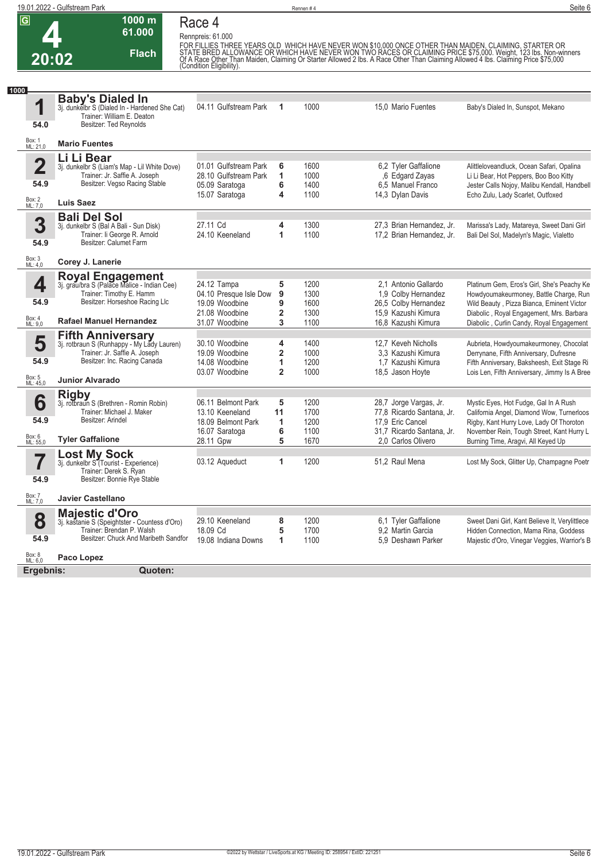|                         | 19.01.2022 - Gulfstream Park                                                  |                                       |         | Rennen #4    |                                                     | Seite 6                                                                                                                                                                                                                                |
|-------------------------|-------------------------------------------------------------------------------|---------------------------------------|---------|--------------|-----------------------------------------------------|----------------------------------------------------------------------------------------------------------------------------------------------------------------------------------------------------------------------------------------|
| $\overline{G}$          | 1000 m                                                                        | Race 4                                |         |              |                                                     |                                                                                                                                                                                                                                        |
|                         | 61.000                                                                        | Rennpreis: 61.000                     |         |              |                                                     |                                                                                                                                                                                                                                        |
|                         | <b>Flach</b>                                                                  |                                       |         |              |                                                     | FOR FILLIES THREE YEARS OLD WHICH HAVE NEVER WON \$10,000 ONCE OTHER THAN MAIDEN, CLAIMING, STARTER OR<br>STATE BRED ALLOWANCE OR WHICH HAVE NEVER WON TWO RACES OR CLAIMING PRICE \$75,000. Weight, 123 lbs. Non-winners<br>Of A Race |
| 20:02                   |                                                                               | (Condition Eligibility).              |         |              |                                                     |                                                                                                                                                                                                                                        |
|                         |                                                                               |                                       |         |              |                                                     |                                                                                                                                                                                                                                        |
| 1000                    | <b>Baby's Dialed In</b>                                                       |                                       |         |              |                                                     |                                                                                                                                                                                                                                        |
| 1                       | 3j. dunkelbr S (Dialed In - Hardened She Cat)<br>Trainer: William E. Deaton   | 04.11 Gulfstream Park                 | 1       | 1000         | 15,0 Mario Fuentes                                  | Baby's Dialed In, Sunspot, Mekano                                                                                                                                                                                                      |
| 54.0                    | Besitzer: Ted Reynolds                                                        |                                       |         |              |                                                     |                                                                                                                                                                                                                                        |
| Box: 1<br>ML: 21,0      | <b>Mario Fuentes</b>                                                          |                                       |         |              |                                                     |                                                                                                                                                                                                                                        |
| $\overline{\mathbf{2}}$ | Li Li Bear                                                                    | 01.01 Gulfstream Park                 | 6       | 1600         | 6,2 Tyler Gaffalione                                | Alittleloveandluck, Ocean Safari, Opalina                                                                                                                                                                                              |
|                         | 3j. dunkelbr S (Liam's Map - Lil White Dove)<br>Trainer: Jr. Saffie A. Joseph | 28.10 Gulfstream Park                 | 1       | 1000         | ,6 Edgard Zayas                                     | Li Li Bear, Hot Peppers, Boo Boo Kitty                                                                                                                                                                                                 |
| 54.9                    | Besitzer: Vegso Racing Stable                                                 | 05.09 Saratoga                        | 6       | 1400         | 6,5 Manuel Franco                                   | Jester Calls Nojoy, Malibu Kendall, Handbell                                                                                                                                                                                           |
| Box: 2<br>ML: 7,0       | <b>Luis Saez</b>                                                              | 15.07 Saratoga                        | 4       | 1100         | 14,3 Dylan Davis                                    | Echo Zulu, Lady Scarlet, Outfoxed                                                                                                                                                                                                      |
|                         | <b>Bali Del Sol</b>                                                           |                                       |         |              |                                                     |                                                                                                                                                                                                                                        |
| 3                       | 3j. dunkelbr S (Bal A Bali - Sun Disk)                                        | 27.11 Cd                              | 4       | 1300         | 27,3 Brian Hernandez, Jr.                           | Marissa's Lady, Matareya, Sweet Dani Girl                                                                                                                                                                                              |
| 54.9                    | Trainer: li George R. Arnold<br>Besitzer: Calumet Farm                        | 24.10 Keeneland                       | 1       | 1100         | 17,2 Brian Hernandez, Jr.                           | Bali Del Sol, Madelyn's Magic, Vialetto                                                                                                                                                                                                |
|                         |                                                                               |                                       |         |              |                                                     |                                                                                                                                                                                                                                        |
| Box: 3<br>ML: 4,0       | Corey J. Lanerie                                                              |                                       |         |              |                                                     |                                                                                                                                                                                                                                        |
| 4                       | Royal Engagement<br>3j. grau/bra S (Palace Malice - Indian Cee)               | 24.12 Tampa                           | 5       | 1200         | 2.1 Antonio Gallardo                                | Platinum Gem, Eros's Girl, She's Peachy Ke                                                                                                                                                                                             |
|                         | Trainer: Timothy E. Hamm                                                      | 04.10 Presque Isle Dow                | 9       | 1300         | 1,9 Colby Hernandez                                 | Howdyoumakeurmoney, Battle Charge, Run                                                                                                                                                                                                 |
| 54.9                    | Besitzer: Horseshoe Racing Llc                                                | 19.09 Woodbine                        | 9       | 1600         | 26,5 Colby Hernandez                                | Wild Beauty, Pizza Bianca, Eminent Victor                                                                                                                                                                                              |
| Box: 4<br>ML: 9,0       | <b>Rafael Manuel Hernandez</b>                                                | 21.08 Woodbine<br>31.07 Woodbine      | 2<br>3  | 1300<br>1100 | 15,9 Kazushi Kimura<br>16,8 Kazushi Kimura          | Diabolic, Royal Engagement, Mrs. Barbara<br>Diabolic, Curlin Candy, Royal Engagement                                                                                                                                                   |
|                         |                                                                               |                                       |         |              |                                                     |                                                                                                                                                                                                                                        |
| 5                       | Fifth Anniversary<br>3j. rotbraun S (Runhappy - My Lady Lauren)               | 30.10 Woodbine                        | 4       | 1400         | 12.7 Keveh Nicholls                                 | Aubrieta, Howdyoumakeurmoney, Chocolat                                                                                                                                                                                                 |
| 54.9                    | Trainer: Jr. Saffie A. Joseph<br>Besitzer: Inc. Racing Canada                 | 19.09 Woodbine                        | 2       | 1000         | 3,3 Kazushi Kimura                                  | Derrynane, Fifth Anniversary, Dufresne                                                                                                                                                                                                 |
|                         |                                                                               | 14.08 Woodbine<br>03.07 Woodbine      | 1<br>2  | 1200<br>1000 | 1.7 Kazushi Kimura<br>18,5 Jason Hoyte              | Fifth Anniversary, Baksheesh, Exit Stage Ri<br>Lois Len, Fifth Anniversary, Jimmy Is A Bree                                                                                                                                            |
| Box: 5<br>ML: 45,0      | <b>Junior Alvarado</b>                                                        |                                       |         |              |                                                     |                                                                                                                                                                                                                                        |
|                         | <b>Rigby</b>                                                                  |                                       |         |              |                                                     |                                                                                                                                                                                                                                        |
| 6                       | 3j. rotbraun S (Brethren - Romin Robin)<br>Trainer: Michael J. Maker          | 06.11 Belmont Park<br>13.10 Keeneland | 5<br>11 | 1200<br>1700 | 28,7 Jorge Vargas, Jr.<br>77,8 Ricardo Santana, Jr. | Mystic Eyes, Hot Fudge, Gal In A Rush<br>California Angel, Diamond Wow, Turnerloos                                                                                                                                                     |
| 54.9                    | Besitzer: Arindel                                                             | 18.09 Belmont Park                    | 1       | 1200         | 17,9 Eric Cancel                                    | Rigby, Kant Hurry Love, Lady Of Thoroton                                                                                                                                                                                               |
|                         |                                                                               | 16.07 Saratoga                        | 6       | 1100         | 31.7 Ricardo Santana, Jr.                           | November Rein, Tough Street, Kant Hurry L                                                                                                                                                                                              |
| Box: 6<br>ML: 55,0      | <b>Tyler Gaffalione</b>                                                       | 28.11 Gpw                             | 5       | 1670         | 2.0 Carlos Olivero                                  | Burning Time, Aragvi, All Keyed Up                                                                                                                                                                                                     |
|                         | <b>Lost My Sock</b><br>3j. dunkelbr S (Tourist - Experience)                  | 03.12 Aqueduct                        | 1       | 1200         | 51,2 Raul Mena                                      | Lost My Sock, Glitter Up, Champagne Poetr                                                                                                                                                                                              |
| I                       | Trainer: Derek S. Ryan                                                        |                                       |         |              |                                                     |                                                                                                                                                                                                                                        |
| 54.9                    | Besitzer: Bonnie Rye Stable                                                   |                                       |         |              |                                                     |                                                                                                                                                                                                                                        |
| Box: 7<br>ML: 7,0       | <b>Javier Castellano</b>                                                      |                                       |         |              |                                                     |                                                                                                                                                                                                                                        |
|                         | <b>Majestic d'Oro</b>                                                         |                                       |         |              |                                                     |                                                                                                                                                                                                                                        |
| 8                       | 3j. kastanie S (Speightster - Countess d'Oro)<br>Trainer: Brendan P. Walsh    | 29.10 Keeneland                       | 8       | 1200         | 6,1 Tyler Gaffalione                                | Sweet Dani Girl, Kant Believe It, Verylittlece                                                                                                                                                                                         |
| 54.9                    | Besitzer: Chuck And Maribeth Sandfor                                          | 18.09 Cd<br>19.08 Indiana Downs       | 5<br>1  | 1700<br>1100 | 9,2 Martin Garcia<br>5.9 Deshawn Parker             | Hidden Connection, Mama Rina, Goddess<br>Majestic d'Oro, Vinegar Veggies, Warrior's B                                                                                                                                                  |
| Box: 8<br>ML: 6,0       | Paco Lopez                                                                    |                                       |         |              |                                                     |                                                                                                                                                                                                                                        |
|                         | Quoten:<br>Ergebnis:                                                          |                                       |         |              |                                                     |                                                                                                                                                                                                                                        |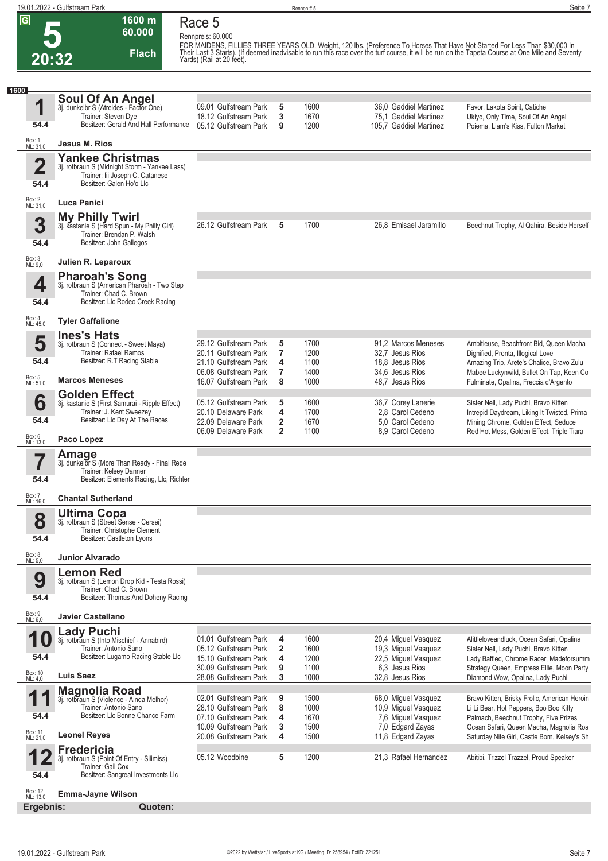**1**

**1600**

### **5 20:32 1600 m 60.000 Flach**

**Race 5 Rennpreis: 60.000**

FOR MAIDENS, FILLIES THREE YEARS OLD. Weight, 120 lbs. (Preference To Horses That Have Not Started For Less Than \$30,000 In<br>Their Last 3 Starts). (If deemed inadvisable to run this race over the turf course, it will be run **Soul Of An Angel** 3j. dunkelbr S (Atreides - Factor One) Trainer: Steven Dye Besitzer: Gerald And Hall Performance **Jesus M. Rios Yankee Christmas**

09.01 Gulfstream Park **5** 1600 36,0 Gaddiel Martinez Favor, Lakota Spirit, Catiche<br>18.12 Gulfstream Park **3** 1670 75,1 Gaddiel Martinez Ukiyo, Only Time, Soul Of Ar Ukiyo, Only Time, Soul Of An Angel

| 54.4                            | Besitzer: Gerald And Hall Performance 05.12 Gulfstream Park                                                                             |                                                                                            | 9                                      | 1200                         | 105.7 Gaddiel Martinez                                                         | $S_1, S_2, S_3, S_4, S_5, S_6, S_7, S_7, S_7, S_8, S_9, S_1, S_1, S_2, S_4, S_6, S_7, S_8, S_9, S_1, S_2, S_4, S_6, S_7, S_8, S_9, S_1, S_2, S_4, S_6, S_7, S_8, S_9, S_9, S_1, S_1, S_2, S_4, S_1, S_2, S_4, S_1, S_2, S_4, S_4, S_4, S_4, S_4, S_4, S_5, S_6, S_6, S_6, S_6, S_7,$<br>Poiema, Liam's Kiss, Fulton Market |
|---------------------------------|-----------------------------------------------------------------------------------------------------------------------------------------|--------------------------------------------------------------------------------------------|----------------------------------------|------------------------------|--------------------------------------------------------------------------------|----------------------------------------------------------------------------------------------------------------------------------------------------------------------------------------------------------------------------------------------------------------------------------------------------------------------------|
| Box: 1<br>ML: 31,0              | Jesus M. Rios                                                                                                                           |                                                                                            |                                        |                              |                                                                                |                                                                                                                                                                                                                                                                                                                            |
| $\overline{\mathbf{2}}$<br>54.4 | <b>Yankee Christmas</b><br>3j. rotbraun S (Midnight Storm - Yankee Lass)<br>Trainer: lii Joseph C. Catanese<br>Besitzer: Galen Ho'o Llc |                                                                                            |                                        |                              |                                                                                |                                                                                                                                                                                                                                                                                                                            |
| Box: 2<br>ML: 31,0              | Luca Panici                                                                                                                             |                                                                                            |                                        |                              |                                                                                |                                                                                                                                                                                                                                                                                                                            |
| 3<br>54.4                       | <b>My Philly Twirl</b><br>3j. kastanie S (Hard Spun - My Philly Girl)<br>Trainer: Brendan P. Walsh<br>Besitzer: John Gallegos           | 26.12 Gulfstream Park                                                                      | 5                                      | 1700                         | 26,8 Emisael Jaramillo                                                         | Beechnut Trophy, Al Qahira, Beside Herself                                                                                                                                                                                                                                                                                 |
| Box: 3<br>ML: 9,0               | Julien R. Leparoux                                                                                                                      |                                                                                            |                                        |                              |                                                                                |                                                                                                                                                                                                                                                                                                                            |
| 4<br>54.4                       | <b>Pharoah's Song</b><br>3j. rotbraun S (American Pharoah - Two Step<br>Trainer: Chad C. Brown<br>Besitzer: Llc Rodeo Creek Racing      |                                                                                            |                                        |                              |                                                                                |                                                                                                                                                                                                                                                                                                                            |
| Box: 4<br>ML: 45,0              | <b>Tyler Gaffalione</b>                                                                                                                 |                                                                                            |                                        |                              |                                                                                |                                                                                                                                                                                                                                                                                                                            |
| 5<br>54.4                       | <b>Ines's Hats</b><br>3j. rotbraun S (Connect - Sweet Maya)<br>Trainer: Rafael Ramos<br>Besitzer: R.T Racing Stable                     | 29.12 Gulfstream Park<br>20.11 Gulfstream Park<br>21.10 Gulfstream Park                    | 5<br>7<br>4                            | 1700<br>1200<br>1100         | 91,2 Marcos Meneses<br>32.7 Jesus Rios<br>18.8 Jesus Rios                      | Ambitieuse, Beachfront Bid, Queen Macha<br>Dignified, Pronta, Illogical Love<br>Amazing Trip, Arete's Chalice, Bravo Zulu                                                                                                                                                                                                  |
| Box: 5<br>ML: 51,0              | <b>Marcos Meneses</b>                                                                                                                   | 06.08 Gulfstream Park<br>16.07 Gulfstream Park                                             | 7<br>8                                 | 1400<br>1000                 | 34.6 Jesus Rios<br>48.7 Jesus Rios                                             | Mabee Luckynwild, Bullet On Tap, Keen Co<br>Fulminate, Opalina, Freccia d'Argento                                                                                                                                                                                                                                          |
| 6<br>54.4                       | <b>Golden Effect</b><br>3j. kastanie S (First Samurai - Ripple Effect)<br>Trainer: J. Kent Sweezey<br>Besitzer: Llc Day At The Races    | 05.12 Gulfstream Park<br>20.10 Delaware Park<br>22.09 Delaware Park<br>06.09 Delaware Park | 5<br>4<br>2<br>$\overline{\mathbf{2}}$ | 1600<br>1700<br>1670<br>1100 | 36,7 Corey Lanerie<br>2.8 Carol Cedeno<br>5.0 Carol Cedeno<br>8,9 Carol Cedeno | Sister Nell, Lady Puchi, Bravo Kitten<br>Intrepid Daydream, Liking It Twisted, Prima<br>Mining Chrome, Golden Effect, Seduce<br>Red Hot Mess, Golden Effect, Triple Tiara                                                                                                                                                  |
| Box: 6<br>ML: 13,0              | Paco Lopez                                                                                                                              |                                                                                            |                                        |                              |                                                                                |                                                                                                                                                                                                                                                                                                                            |
| 7<br>54.4                       | Amage<br>3j. dunkelbr S (More Than Ready - Final Rede<br>Trainer: Kelsey Danner<br>Besitzer: Elements Racing, Llc, Richter              |                                                                                            |                                        |                              |                                                                                |                                                                                                                                                                                                                                                                                                                            |
| Box: 7<br>ML: 16,0              | <b>Chantal Sutherland</b>                                                                                                               |                                                                                            |                                        |                              |                                                                                |                                                                                                                                                                                                                                                                                                                            |
| 8<br>54.4                       | <b>Ultima Copa</b><br>3j. rotbraun S (Street Sense - Cersei)<br>Trainer: Christophe Clement<br>Besitzer: Castleton Lyons                |                                                                                            |                                        |                              |                                                                                |                                                                                                                                                                                                                                                                                                                            |
| Box: 8<br>ML: 5,0               | <b>Junior Alvarado</b>                                                                                                                  |                                                                                            |                                        |                              |                                                                                |                                                                                                                                                                                                                                                                                                                            |
| Y<br>54.4                       | <b>Lemon Red</b><br>3j. rotbraun S (Lemon Drop Kid - Testa Rossi)<br>Trainer: Chad C. Brown<br>Besitzer: Thomas And Doheny Racing       |                                                                                            |                                        |                              |                                                                                |                                                                                                                                                                                                                                                                                                                            |
| Box: 9<br>ML: 6,0               | <b>Javier Castellano</b>                                                                                                                |                                                                                            |                                        |                              |                                                                                |                                                                                                                                                                                                                                                                                                                            |
| IJ<br>54.4                      | <b>Lady Puchi</b><br>3j. rotbraun S (Into Mischief - Annabird)<br>Trainer: Antonio Sano<br>Besitzer: Lugamo Racing Stable Llc           | 01.01 Gulfstream Park<br>05.12 Gulfstream Park<br>15.10 Gulfstream Park                    | 4<br>2<br>4                            | 1600<br>1600<br>1200         | 20,4 Miguel Vasquez<br>19,3 Miguel Vasquez<br>22,5 Miguel Vasquez              | Alittleloveandluck, Ocean Safari, Opalina<br>Sister Nell, Lady Puchi, Bravo Kitten<br>Lady Baffled, Chrome Racer, Madeforsumm                                                                                                                                                                                              |
| Box: 10<br>ML: 4,0              | <b>Luis Saez</b>                                                                                                                        | 30.09 Gulfstream Park<br>28.08 Gulfstream Park                                             | 9<br>3                                 | 1100<br>1000                 | 6.3 Jesus Rios<br>32,8 Jesus Rios                                              | Strategy Queen, Empress Ellie, Moon Party<br>Diamond Wow, Opalina, Lady Puchi                                                                                                                                                                                                                                              |

| <b>Magnolia Road</b><br>3j. rotbraun S (Violence - Ainda Melhor)                                      | 02.01 Gulfstream Park 9 |   | 1500 | 68.0 Miquel Vasquez   | Bravo Kitten, Brisky Frolic, American Heroin |
|-------------------------------------------------------------------------------------------------------|-------------------------|---|------|-----------------------|----------------------------------------------|
| Trainer: Antonio Sano                                                                                 | 28.10 Gulfstream Park 8 |   | 1000 | 10,9 Miquel Vasquez   | Li Li Bear, Hot Peppers, Boo Boo Kitty       |
| Besitzer: LIc Bonne Chance Farm                                                                       | 07.10 Gulfstream Park   | 4 | 1670 | 7.6 Miguel Vasquez    | Palmach, Beechnut Trophy, Five Prizes        |
|                                                                                                       | 10.09 Gulfstream Park   |   | 1500 | 7.0 Edgard Zayas      | Ocean Safari, Queen Macha, Magnolia Roa      |
| <b>Leonel Reves</b>                                                                                   | 20.08 Gulfstream Park   | 4 | 1500 | 11.8 Edgard Zavas     | Saturday Nite Girl, Castle Born, Kelsey's Sh |
| Fredericia                                                                                            |                         |   |      |                       |                                              |
| 3j. rotbraun S (Point Of Entry - Silimiss)<br>Trainer: Gail Cox<br>Besitzer: Sangreal Investments Llc | 05.12 Woodbine          |   | 1200 | 21.3 Rafael Hernandez | Abitibi, Trizzel Trazzel, Proud Speaker      |

Box: 12 ML: 13,0 **Emma-Jayne Wilson**

**Leonel Reyes**

**Magnolia Road**

**Ergebnis: Quoten:**

**11**

**54.4**

**12**

**54.4**

Box: 11 ML: 21,0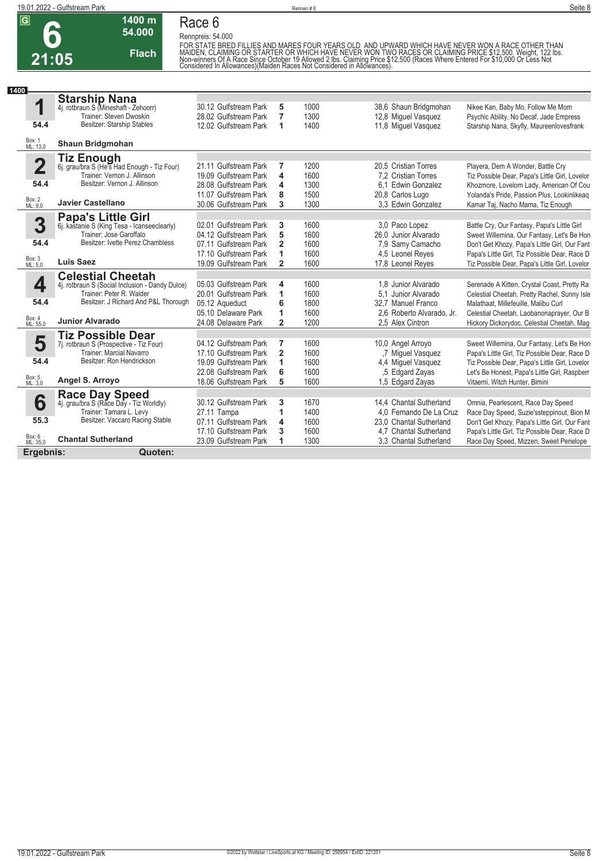

## **Race 6**

**Rennpreis: 54.000**

**54.000 Flach**

**1400 m**

FOR STATE BRED FILLIES AND MARES FOUR YEARS OLD. AND UPWARD WHICH HAVE NEVER WON A RACE OTHER THAN<br>MAIDEN, CLAIMING OR STARTER OR WHICH HAVE NEVER WON TWO RACES OR CLAIMING PRICE \$12,500. Weight, 122 lbs.<br>Non-winners Of A

| 1400                    |                                                                 |                       |                |      |                           |                                                |
|-------------------------|-----------------------------------------------------------------|-----------------------|----------------|------|---------------------------|------------------------------------------------|
|                         | <b>Starship Nana</b>                                            | 30.12 Gulfstream Park |                | 1000 |                           |                                                |
| 1                       | 4j. rotbraun S (Mineshaft - Zehoorr)<br>Trainer: Steven Dwoskin |                       | 5              |      | 38,6 Shaun Bridgmohan     | Nikee Kan, Baby Mo, Follow Me Mom              |
| 54.4                    | Besitzer: Starship Stables                                      | 28.02 Gulfstream Park | 7              | 1300 | 12,8 Miguel Vasquez       | Psychic Ability, No Decaf, Jade Empress        |
|                         |                                                                 | 12.02 Gulfstream Park | 1              | 1400 | 11,8 Miguel Vasquez       | Starship Nana, Skyfly, Maureenlovesfrank       |
| Box: 1<br>ML: 13,0      | Shaun Bridgmohan                                                |                       |                |      |                           |                                                |
|                         | <b>Tiz Enough</b>                                               |                       |                |      |                           |                                                |
| $\overline{\mathbf{2}}$ | 6j. grau/bra S (He's Had Enough - Tiz Four)                     | 21.11 Gulfstream Park | 7              | 1200 | 20.5 Cristian Torres      | Playera, Dem A Wonder, Battle Cry              |
|                         | Trainer: Vernon J. Allinson                                     | 19.09 Gulfstream Park | 4              | 1600 | 7.2 Cristian Torres       | Tiz Possible Dear, Papa's Little Girl, Lovelor |
| 54.4                    | Besitzer: Vernon J. Allinson                                    | 28.08 Gulfstream Park | 4              | 1300 | 6.1 Edwin Gonzalez        | Khozmore, Lovelorn Lady, American Of Cou       |
|                         |                                                                 | 11.07 Gulfstream Park | 8              | 1500 | 20,8 Carlos Lugo          | Yolanda's Pride, Passion Plus, Lookinlikeag    |
| Box: 2<br>ML: 9,0       | <b>Javier Castellano</b>                                        | 30.06 Gulfstream Park | 3              | 1300 | 3.3 Edwin Gonzalez        | Kamar Taj, Nacho Mama, Tiz Enough              |
|                         | <b>Papa's Little Girl</b>                                       |                       |                |      |                           |                                                |
| 3                       | 6j. kastanie S (King Tesa - Icanseeclearly)                     | 02.01 Gulfstream Park | 3              | 1600 | 3.0 Paco Lopez            | Battle Cry, Our Fantasy, Papa's Little Girl    |
|                         | Trainer: Jose Garoffalo                                         | 04.12 Gulfstream Park | 5              | 1600 | 26.0 Junior Alvarado      | Sweet Willemina, Our Fantasy, Let's Be Hon     |
| 54.4                    | Besitzer: Ivette Perez Chambless                                | 07.11 Gulfstream Park | $\overline{2}$ | 1600 | 7,9 Samy Camacho          | Don't Get Khozy, Papa's Little Girl, Our Fant  |
|                         |                                                                 | 17.10 Gulfstream Park | 1              | 1600 | 4,5 Leonel Reyes          | Papa's Little Girl, Tiz Possible Dear, Race D  |
| Box: 3<br>ML: 5,0       | <b>Luis Saez</b>                                                | 19.09 Gulfstream Park | $\overline{2}$ | 1600 | 17,8 Leonel Reves         | Tiz Possible Dear, Papa's Little Girl, Lovelor |
|                         | <b>Celestial Cheetah</b>                                        |                       |                |      |                           |                                                |
| 4                       | 4j. rotbraun S (Social Inclusion - Dandy Dulce)                 | 05.03 Gulfstream Park | 4              | 1600 | 1.8 Junior Alvarado       | Serenade A Kitten, Crystal Coast, Pretty Ra    |
|                         | Trainer: Peter R. Walder                                        | 20.01 Gulfstream Park | 1              | 1600 | 5.1 Junior Alvarado       | Celestial Cheetah, Pretty Rachel, Sunny Isle   |
| 54.4                    | Besitzer: J Richard And P&L Thorough                            | 05.12 Aqueduct        | 6              | 1800 | 32.7 Manuel Franco        | Malathaat, Millefeuille, Malibu Curl           |
|                         |                                                                 | 05.10 Delaware Park   | 1              | 1600 | 2.6 Roberto Alvarado, Jr. | Celestial Cheetah, Laobanonaprayer, Our B      |
| Box: 4<br>ML: 55,0      | <b>Junior Alvarado</b>                                          | 24.08 Delaware Park   | $\overline{2}$ | 1200 | 2.5 Alex Cintron          | Hickory Dickorydoc, Celestial Cheetah, Mag     |
|                         | <b>Tiz Possible Dear</b>                                        |                       |                |      |                           |                                                |
| 5                       | 7j. rotbraun S (Prospective - Tiz Four)                         | 04.12 Gulfstream Park | 7              | 1600 | 10,0 Angel Arroyo         | Sweet Willemina, Our Fantasy, Let's Be Hon     |
|                         | Trainer: Marcial Navarro                                        | 17.10 Gulfstream Park | $\overline{2}$ | 1600 | .7 Miquel Vasquez         | Papa's Little Girl, Tiz Possible Dear, Race D  |
| 54.4                    | Besitzer: Ron Hendrickson                                       | 19.09 Gulfstream Park | 1              | 1600 | 4,4 Miguel Vasquez        | Tiz Possible Dear, Papa's Little Girl, Lovelor |
|                         |                                                                 | 22.08 Gulfstream Park | 6              | 1600 | .5 Edgard Zayas           | Let's Be Honest, Papa's Little Girl, Raspberr  |
| Box: 5<br>ML: 3,0       | Angel S. Arroyo                                                 | 18.06 Gulfstream Park | 5              | 1600 | 1,5 Edgard Zayas          | Vitaemi, Witch Hunter, Bimini                  |
|                         |                                                                 |                       |                |      |                           |                                                |
| 6                       | Race Day Speed<br>4j. grau/bra S (Race Day - Tiz Worldly)       | 30.12 Gulfstream Park | 3              | 1670 | 14.4 Chantal Sutherland   | Omnia, Pearlescent, Race Day Speed             |
|                         | Trainer: Tamara L. Levy                                         | 27.11 Tampa           | 1              | 1400 | 4.0 Fernando De La Cruz   | Race Day Speed, Suzie'ssteppinout, Bion M      |
| 55.3                    | Besitzer: Vaccaro Racing Stable                                 | 07.11 Gulfstream Park | 4              | 1600 | 23.0 Chantal Sutherland   | Don't Get Khozy, Papa's Little Girl, Our Fant  |
|                         |                                                                 | 17.10 Gulfstream Park | 3              | 1600 | 4.7 Chantal Sutherland    | Papa's Little Girl, Tiz Possible Dear, Race D  |
| Box: 6<br>ML: 35,0      | <b>Chantal Sutherland</b>                                       | 23.09 Gulfstream Park | 1              | 1300 | 3,3 Chantal Sutherland    | Race Day Speed, Mizzen, Sweet Penelope         |
| Ergebnis:               | Quoten:                                                         |                       |                |      |                           |                                                |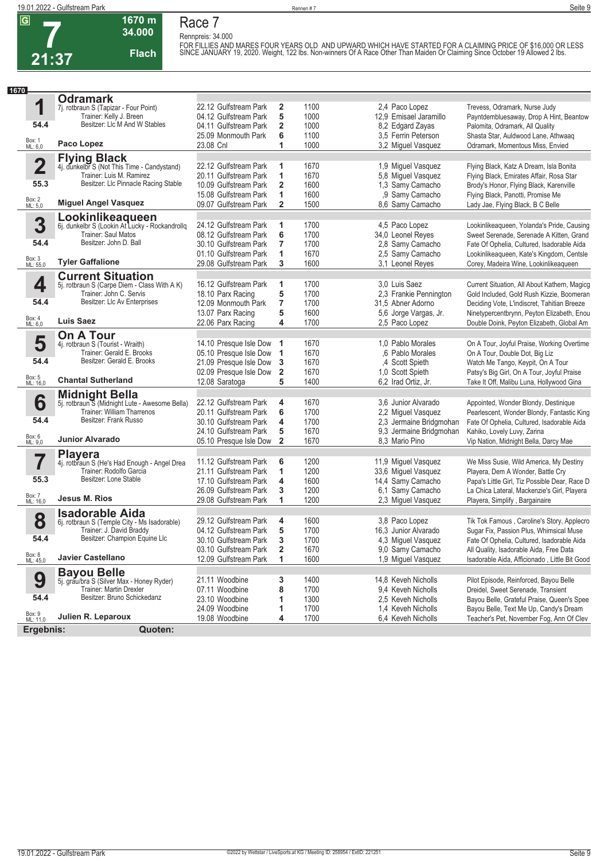**1670 m Race 7**

**7 21:37** **34.000 Flach**

**Rennpreis: 34.000** FOR FILLIES AND MARES FOUR YEARS OLD AND UPWARD WHICH HAVE STARTED FOR A CLAIMING PRICE OF \$16,000 OR LESS<br>SINCE JANUARY 19, 2020. Weight, 122 Ibs. Non-winners Of A Race Other Than Maiden Or Claiming Since October 19 Allo

| 1670               |                                                                           |                        |                         |      |                         |                                               |
|--------------------|---------------------------------------------------------------------------|------------------------|-------------------------|------|-------------------------|-----------------------------------------------|
|                    | <b>Odramark</b>                                                           |                        |                         |      |                         |                                               |
| 1                  | 7j. rotbraun S (Tapizar - Four Point)                                     | 22.12 Gulfstream Park  | $\mathbf{2}$            | 1100 | 2.4 Paco Lopez          | Trevess, Odramark, Nurse Judy                 |
|                    | Trainer: Kelly J. Breen                                                   | 04.12 Gulfstream Park  | 5                       | 1000 | 12.9 Emisael Jaramillo  | Payntdembluesaway, Drop A Hint, Beantow       |
| 54.4               | Besitzer: Llc M And W Stables                                             | 04.11 Gulfstream Park  | $\overline{\mathbf{2}}$ | 1000 | 8,2 Edgard Zayas        | Palomita, Odramark, All Quality               |
|                    |                                                                           | 25.09 Monmouth Park    | 6                       | 1100 | 3,5 Ferrin Peterson     | Shasta Star, Auldwood Lane, Athwaaq           |
| Box: 1<br>ML: 6,0  | Paco Lopez                                                                | 23.08 Cnl              | 1                       | 1000 | 3,2 Miguel Vasquez      | Odramark, Momentous Miss, Envied              |
|                    |                                                                           |                        |                         |      |                         |                                               |
| $\overline{2}$     | <b>Flying Black</b><br>4j. dunkelbr S (Not This Time - Candystand)        | 22.12 Gulfstream Park  | 1                       | 1670 | 1,9 Miguel Vasquez      | Flying Black, Katz A Dream, Isla Bonita       |
|                    | Trainer: Luis M. Ramirez                                                  | 20.11 Gulfstream Park  | 1                       | 1670 | 5,8 Miguel Vasquez      | Flying Black, Emirates Affair, Rosa Star      |
| 55.3               | Besitzer: LIc Pinnacle Racing Stable                                      | 10.09 Gulfstream Park  | 2                       | 1600 | 1,3 Samy Camacho        | Brody's Honor, Flying Black, Karenville       |
|                    |                                                                           | 15.08 Gulfstream Park  | 1                       | 1600 | ,9 Samy Camacho         | Flying Black, Panotti, Promise Me             |
| Box: 2<br>ML: 5,0  | <b>Miguel Angel Vasquez</b>                                               | 09.07 Gulfstream Park  | $\overline{2}$          | 1500 | 8,6 Samy Camacho        | Lady Jae, Flying Black, B C Belle             |
|                    |                                                                           |                        |                         |      |                         |                                               |
|                    | <b>Lookinlikeaqueen</b><br>6j. dunkelbr S (Lookin At Lucky - Rockandrollq |                        |                         |      |                         |                                               |
| 3                  |                                                                           | 24.12 Gulfstream Park  | 1                       | 1700 | 4.5 Paco Lopez          | Lookinlikeaqueen, Yolanda's Pride, Causing    |
|                    | Trainer: Saul Matos<br>Besitzer: John D. Ball                             | 08.12 Gulfstream Park  | 6                       | 1700 | 34,0 Leonel Reyes       | Sweet Serenade, Serenade A Kitten, Grand      |
| 54.4               |                                                                           | 30.10 Gulfstream Park  | $\overline{7}$          | 1700 | 2,8 Samy Camacho        | Fate Of Ophelia, Cultured, Isadorable Aida    |
|                    |                                                                           | 01.10 Gulfstream Park  | 1                       | 1670 | 2,5 Samy Camacho        | Lookinlikeaqueen, Kate's Kingdom, Centsle     |
| Box: 3<br>ML: 55,0 | <b>Tyler Gaffalione</b>                                                   | 29.08 Gulfstream Park  | 3                       | 1600 | 3,1 Leonel Reyes        | Corey, Madeira Wine, Lookinlikeaqueen         |
|                    | <b>Current Situation</b>                                                  |                        |                         |      |                         |                                               |
| 4                  | 5j. rotbraun S (Carpe Diem - Class With A K)                              | 16.12 Gulfstream Park  | 1                       | 1700 | 3.0 Luis Saez           | Current Situation, All About Kathern, Magicg  |
|                    | Trainer: John C. Servis                                                   | 18.10 Parx Racing      | 5                       | 1700 | 2.3 Frankie Pennington  | Gold Included, Gold Rush Kizzie, Boomeran     |
| 54.4               | Besitzer: Llc Av Enterprises                                              | 12.09 Monmouth Park    | $\overline{7}$          | 1700 | 31,5 Abner Adorno       | Deciding Vote, L'indiscret, Tahitian Breeze   |
|                    |                                                                           | 13.07 Parx Racing      | 5                       | 1600 | 5,6 Jorge Vargas, Jr.   | Ninetypercentbrynn, Peyton Elizabeth, Enou    |
| Box: 4<br>ML: 6,0  | <b>Luis Saez</b>                                                          | 22.06 Parx Racing      | 4                       | 1700 | 2,5 Paco Lopez          | Double Doink, Peyton Elizabeth, Global Am     |
|                    | <b>On A Tour</b>                                                          |                        |                         |      |                         |                                               |
| 5                  | 4j. rotbraun S (Tourist - Wraith)                                         | 14.10 Presque Isle Dow | 1                       | 1670 | 1,0 Pablo Morales       | On A Tour, Joyful Praise, Working Overtime    |
|                    | Trainer: Gerald E. Brooks                                                 | 05.10 Presque Isle Dow | 1                       | 1670 | ,6 Pablo Morales        | On A Tour, Double Dot, Big Liz                |
| 54.4               | Besitzer: Gerald E. Brooks                                                | 21.09 Presque Isle Dow | 3                       | 1670 | ,4 Scott Spieth         | Watch Me Tango, Keypit, On A Tour             |
|                    |                                                                           | 02.09 Presque Isle Dow | $\mathbf{2}$            | 1670 | 1.0 Scott Spieth        | Patsy's Big Girl, On A Tour, Joyful Praise    |
| Box: 5<br>ML: 16,0 | <b>Chantal Sutherland</b>                                                 | 12.08 Saratoga         | 5                       | 1400 | 6,2 Irad Ortiz, Jr.     | Take It Off, Malibu Luna, Hollywood Gina      |
|                    |                                                                           |                        |                         |      |                         |                                               |
| 6                  | <b>Midnight Bella</b><br>5j. rotbraun S (Midnight Lute - Awesome Bella)   | 22.12 Gulfstream Park  | 4                       | 1670 | 3.6 Junior Alvarado     | Appointed, Wonder Blondy, Destinique          |
|                    | Trainer: William Tharrenos                                                | 20.11 Gulfstream Park  | 6                       | 1700 | 2,2 Miguel Vasquez      | Pearlescent, Wonder Blondy, Fantastic King    |
| 54.4               | Besitzer: Frank Russo                                                     | 30.10 Gulfstream Park  | 4                       | 1700 | 2,3 Jermaine Bridgmohan | Fate Of Ophelia, Cultured, Isadorable Aida    |
|                    |                                                                           | 24.10 Gulfstream Park  | 5                       | 1670 | 9,3 Jermaine Bridgmohan | Kahiko, Lovely Luvy, Zarina                   |
| Box: 6<br>ML: 9,0  | <b>Junior Alvarado</b>                                                    | 05.10 Presque Isle Dow | $\overline{2}$          | 1670 | 8,3 Mario Pino          | Vip Nation, Midnight Bella, Darcy Mae         |
|                    | <b>Playera</b>                                                            |                        |                         |      |                         |                                               |
| 7                  | 4j. rotbraun S (He's Had Enough - Angel Drea                              | 11.12 Gulfstream Park  | 6                       | 1200 | 11,9 Miguel Vasquez     | We Miss Susie, Wild America, My Destiny       |
|                    | Trainer: Rodolfo Garcia                                                   | 21.11 Gulfstream Park  | 1                       | 1200 | 33,6 Miguel Vasquez     | Playera, Dem A Wonder, Battle Cry             |
| 55.3               | Besitzer: Lone Stable                                                     | 17.10 Gulfstream Park  | 4                       | 1600 | 14,4 Samy Camacho       | Papa's Little Girl, Tiz Possible Dear, Race D |
|                    |                                                                           | 26.09 Gulfstream Park  | 3                       | 1200 | 6,1 Samy Camacho        | La Chica Lateral, Mackenzie's Girl, Playera   |
| Box: 7<br>ML: 16,0 | Jesus M. Rios                                                             | 29.08 Gulfstream Park  | 1                       | 1200 | 2,3 Miguel Vasquez      | Playera, Simplify, Bargainaire                |
|                    | <b>Isadorable Aida</b>                                                    |                        |                         |      |                         |                                               |
| 8                  | 6j. rotbraun S (Temple City - Ms Isadorable)                              | 29.12 Gulfstream Park  | 4                       | 1600 | 3,8 Paco Lopez          | Tik Tok Famous, Caroline's Story, Applecro    |
|                    | Trainer: J. David Braddy                                                  | 04.12 Gulfstream Park  | 5                       | 1700 | 16,3 Junior Alvarado    | Sugar Fix, Passion Plus, Whimsical Muse       |
| 54.4               | Besitzer: Champion Equine Llc                                             | 30.10 Gulfstream Park  | 3                       | 1700 | 4,3 Miguel Vasquez      | Fate Of Ophelia, Cultured, Isadorable Aida    |
|                    |                                                                           | 03.10 Gulfstream Park  | 2                       | 1670 | 9,0 Samy Camacho        | All Quality, Isadorable Aida, Free Data       |
| Box: 8<br>ML: 45,0 | <b>Javier Castellano</b>                                                  | 12.09 Gulfstream Park  | 1                       | 1600 | 1,9 Miguel Vasquez      | Isadorable Aida, Afficionado, Little Bit Good |
|                    |                                                                           |                        |                         |      |                         |                                               |
| 9                  | <b>Bayou Belle</b>                                                        | 21.11 Woodbine         | 3                       | 1400 | 14,8 Keveh Nicholls     | Pilot Episode, Reinforced, Bayou Belle        |
|                    | 5j. grau/bra S (Silver Max - Honey Ryder)<br>Trainer: Martin Drexler      | 07.11 Woodbine         | 8                       | 1700 | 9,4 Keveh Nicholls      | Dreidel, Sweet Serenade, Transient            |
| 54.4               | Besitzer: Bruno Schickedanz                                               | 23.10 Woodbine         | 1                       | 1300 | 2.5 Keveh Nicholls      | Bayou Belle, Grateful Praise, Queen's Spee    |
|                    |                                                                           | 24.09 Woodbine         | 1                       | 1700 | 1.4 Keveh Nicholls      | Bayou Belle, Text Me Up, Candy's Dream        |
| Box: 9<br>ML: 11,0 | Julien R. Leparoux                                                        | 19.08 Woodbine         | 4                       | 1700 | 6,4 Keveh Nicholls      | Teacher's Pet, November Fog, Ann Of Clev      |
| Ergebnis:          | Quoten:                                                                   |                        |                         |      |                         |                                               |
|                    |                                                                           |                        |                         |      |                         |                                               |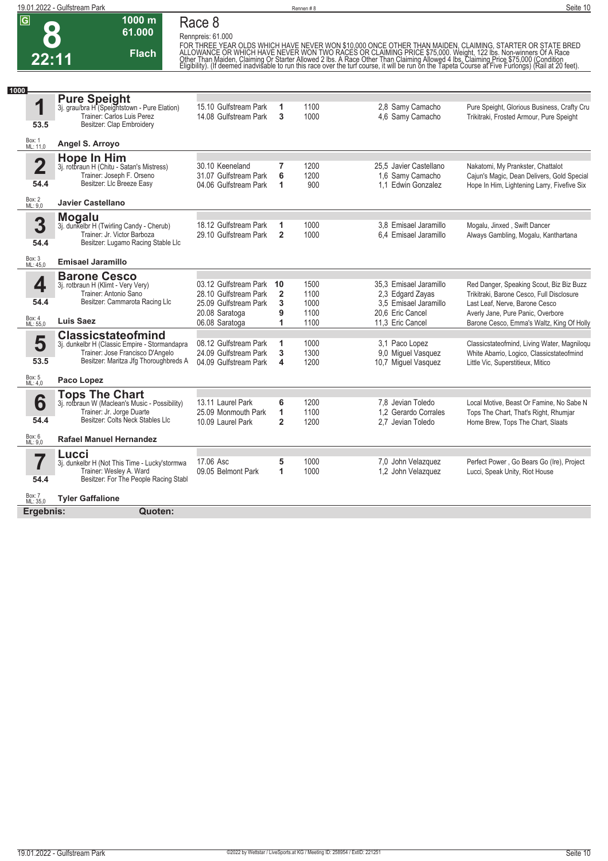|                                               | 19.01.2022 - Gulfstream Park                                                                                                                            |                                                                                              |                                   | Rennen #8                    |                                                                                         | Seite 10                                                                                                                                                                                                                               |
|-----------------------------------------------|---------------------------------------------------------------------------------------------------------------------------------------------------------|----------------------------------------------------------------------------------------------|-----------------------------------|------------------------------|-----------------------------------------------------------------------------------------|----------------------------------------------------------------------------------------------------------------------------------------------------------------------------------------------------------------------------------------|
| $\overline{\mathsf{G}}$<br>$\bullet$<br>22:11 | $1000$ m<br>61.000<br><b>Flach</b>                                                                                                                      | Race 8<br>Rennpreis: 61.000                                                                  |                                   |                              |                                                                                         | FOR THREE YEAR OLDS WHICH HAVE NEVER WON \$10,000 ONCE OTHER THAN MAIDEN, CLAIMING, STARTER OR STATE BRED<br>ALLOWANCE OR WHICH HAVE NEVER WON TWO RACES OR CLAIMING PRICE \$75,000. Weight, 122 lbs. Non-winners Of A Race<br>Other T |
| 1000                                          |                                                                                                                                                         |                                                                                              |                                   |                              |                                                                                         |                                                                                                                                                                                                                                        |
| 1<br>53.5                                     | <b>Pure Speight</b><br>3j. grau/bra H <sup>'</sup> (Speightstown - Pure Elation)<br>Trainer: Carlos Luis Perez<br>Besitzer: Clap Embroidery             | 15.10 Gulfstream Park<br>14.08 Gulfstream Park                                               | 1<br>3                            | 1100<br>1000                 | 2,8 Samy Camacho<br>4,6 Samy Camacho                                                    | Pure Speight, Glorious Business, Crafty Cru<br>Trikitraki, Frosted Armour, Pure Speight                                                                                                                                                |
| Box: 1<br>ML: 11,0                            | Angel S. Arroyo                                                                                                                                         |                                                                                              |                                   |                              |                                                                                         |                                                                                                                                                                                                                                        |
| $\overline{2}$<br>54.4                        | <b>Hope In Him</b><br>3j. rotbraun H (Chitu - Satan's Mistress)<br>Trainer: Joseph F. Orseno<br>Besitzer: Llc Breeze Easy                               | 30.10 Keeneland<br>31.07 Gulfstream Park<br>04.06 Gulfstream Park                            | 7<br>6<br>1                       | 1200<br>1200<br>900          | 25.5 Javier Castellano<br>1.6 Samy Camacho<br>1.1 Edwin Gonzalez                        | Nakatomi, My Prankster, Chattalot<br>Cajun's Magic, Dean Delivers, Gold Special<br>Hope In Him, Lightening Larry, Fivefive Six                                                                                                         |
| Box: 2<br>ML: 9,0                             | <b>Javier Castellano</b>                                                                                                                                |                                                                                              |                                   |                              |                                                                                         |                                                                                                                                                                                                                                        |
| 3<br>54.4                                     | <b>Mogalu</b><br>3j. dunkelbr H (Twirling Candy - Cherub)<br>Trainer: Jr. Victor Barboza<br>Besitzer: Lugamo Racing Stable Llc                          | 18.12 Gulfstream Park<br>29.10 Gulfstream Park                                               | 1<br>$\overline{2}$               | 1000<br>1000                 | 3.8 Emisael Jaramillo<br>6.4 Emisael Jaramillo                                          | Mogalu, Jinxed, Swift Dancer<br>Always Gambling, Mogalu, Kanthartana                                                                                                                                                                   |
| Box: 3<br>ML: 45,0                            | <b>Emisael Jaramillo</b>                                                                                                                                |                                                                                              |                                   |                              |                                                                                         |                                                                                                                                                                                                                                        |
| 4<br>54.4                                     | <b>Barone Cesco</b><br>3j. rotbraun H (Klimt - Very Very)<br>Trainer: Antonio Sano<br>Besitzer: Cammarota Racing Llc                                    | 03.12 Gulfstream Park 10<br>28.10 Gulfstream Park<br>25.09 Gulfstream Park<br>20.08 Saratoga | $\overline{\mathbf{2}}$<br>3<br>9 | 1500<br>1100<br>1000<br>1100 | 35,3 Emisael Jaramillo<br>2,3 Edgard Zayas<br>3.5 Emisael Jaramillo<br>20,6 Eric Cancel | Red Danger, Speaking Scout, Biz Biz Buzz<br>Trikitraki, Barone Cesco, Full Disclosure<br>Last Leaf, Nerve, Barone Cesco<br>Averly Jane, Pure Panic, Overbore                                                                           |
| Box: 4<br>ML: 55,0                            | <b>Luis Saez</b>                                                                                                                                        | 06.08 Saratoga                                                                               | 1                                 | 1100                         | 11.3 Eric Cancel                                                                        | Barone Cesco, Emma's Waltz, King Of Holly                                                                                                                                                                                              |
| 5<br>53.5                                     | <b>Classicstateofmind</b><br>3j. dunkelbr H (Classic Empire - Stormandapra<br>Trainer: Jose Francisco D'Angelo<br>Besitzer: Maritza Jfg Thoroughbreds A | 08.12 Gulfstream Park<br>24.09 Gulfstream Park<br>04.09 Gulfstream Park                      | 1<br>3<br>4                       | 1000<br>1300<br>1200         | 3.1 Paco Lopez<br>9,0 Miguel Vasquez<br>10,7 Miguel Vasquez                             | Classicstateofmind, Living Water, Magniloqu<br>White Abarrio, Logico, Classicstateofmind<br>Little Vic, Superstitieux, Mitico                                                                                                          |
| Box: 5<br>ML: 4,0                             | Paco Lopez                                                                                                                                              |                                                                                              |                                   |                              |                                                                                         |                                                                                                                                                                                                                                        |
| 6<br>54.4                                     | <b>Tops The Chart</b><br>3j. rotbraun W (Maclean's Music - Possibility)<br>Trainer: Jr. Jorge Duarte<br>Besitzer: Colts Neck Stables Llc                | 13.11 Laurel Park<br>25.09 Monmouth Park<br>10.09 Laurel Park                                | 6<br>1<br>$\overline{2}$          | 1200<br>1100<br>1200         | 7,8 Jevian Toledo<br>1.2 Gerardo Corrales<br>2,7 Jevian Toledo                          | Local Motive, Beast Or Famine, No Sabe N<br>Tops The Chart, That's Right, Rhumjar<br>Home Brew, Tops The Chart, Slaats                                                                                                                 |
| Box: 6<br>ML: 9,0                             | <b>Rafael Manuel Hernandez</b>                                                                                                                          |                                                                                              |                                   |                              |                                                                                         |                                                                                                                                                                                                                                        |
| 54.4                                          | Lucci<br>3j. dunkelbr H (Not This Time - Lucky'stormwa<br>Trainer: Wesley A. Ward<br>Besitzer: For The People Racing Stabl                              | 17.06 Asc<br>09.05 Belmont Park                                                              | 5<br>1                            | 1000<br>1000                 | 7,0 John Velazquez<br>1,2 John Velazquez                                                | Perfect Power, Go Bears Go (Ire), Project<br>Lucci, Speak Unity, Riot House                                                                                                                                                            |
| Box: 7<br>ML: 35,0<br>Ergebnis:               | <b>Tyler Gaffalione</b><br>Quoten:                                                                                                                      |                                                                                              |                                   |                              |                                                                                         |                                                                                                                                                                                                                                        |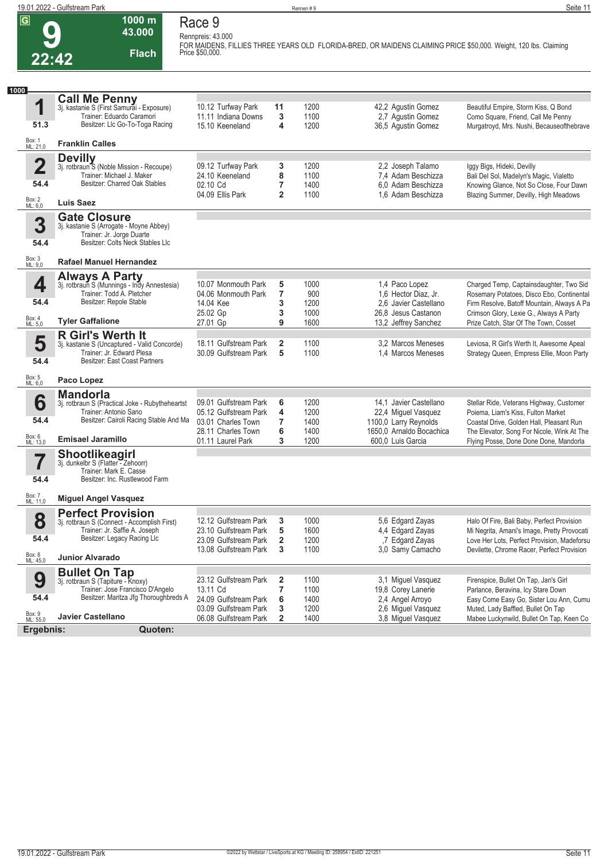**9**

**Race 9 Rennpreis: 43.000**

**1000 m 43.000 Flach**

**FOR MAIDENS, FILLIES THREE YEARS OLD FLORIDA-BRED, OR MAIDENS CLAIMING PRICE \$50,000. Weight, 120 lbs. Claiming Price \$50,000.** 

| 22:42                   | <b>Flach</b>                                                                     | Price \$50,000.                                |                     |              |                                               |                                                                                           |
|-------------------------|----------------------------------------------------------------------------------|------------------------------------------------|---------------------|--------------|-----------------------------------------------|-------------------------------------------------------------------------------------------|
| 1000                    |                                                                                  |                                                |                     |              |                                               |                                                                                           |
|                         | <b>Call Me Penny</b><br>3j. kastanie S (First Samurai - Exposure)                |                                                |                     |              |                                               |                                                                                           |
| 1                       |                                                                                  | 10.12 Turfway Park                             | 11                  | 1200         | 42,2 Agustin Gomez                            | Beautiful Empire, Storm Kiss, Q Bond                                                      |
|                         | Trainer: Eduardo Caramori                                                        | 11.11 Indiana Downs                            | 3                   | 1100         | 2,7 Agustin Gomez                             | Como Square, Friend, Call Me Penny                                                        |
| 51.3                    | Besitzer: Llc Go-To-Toga Racing                                                  | 15.10 Keeneland                                | 4                   | 1200         | 36,5 Agustin Gomez                            | Murgatroyd, Mrs. Nushi, Becauseofthebrave                                                 |
| Box: 1<br>ML: 21,0      | <b>Franklin Calles</b>                                                           |                                                |                     |              |                                               |                                                                                           |
|                         | <b>Devilly</b>                                                                   |                                                |                     | 1200         |                                               |                                                                                           |
| $\overline{\mathbf{2}}$ | 3j. rotbraun <sup>5</sup> (Noble Mission - Recoupe)<br>Trainer: Michael J. Maker | 09.12 Turfway Park<br>24.10 Keeneland          | 3<br>8              | 1100         | 2,2 Joseph Talamo<br>7.4 Adam Beschizza       | Iggy Bigs, Hideki, Devilly<br>Bali Del Sol, Madelyn's Magic, Vialetto                     |
| 54.4                    | Besitzer: Charred Oak Stables                                                    | 02.10 Cd                                       | 7                   | 1400         | 6.0 Adam Beschizza                            | Knowing Glance, Not So Close, Four Dawn                                                   |
| Box: 2<br>ML: 6,0       | <b>Luis Saez</b>                                                                 | 04.09 Ellis Park                               | $\overline{2}$      | 1100         | 1,6 Adam Beschizza                            | Blazing Summer, Devilly, High Meadows                                                     |
|                         | <b>Gate Closure</b>                                                              |                                                |                     |              |                                               |                                                                                           |
| 3                       | 3j. kastanie S (Arrogate - Moyne Abbey)                                          |                                                |                     |              |                                               |                                                                                           |
|                         | Trainer: Jr. Jorge Duarte                                                        |                                                |                     |              |                                               |                                                                                           |
| 54.4                    | Besitzer: Colts Neck Stables Llc                                                 |                                                |                     |              |                                               |                                                                                           |
| Box: 3<br>ML: 9,0       | <b>Rafael Manuel Hernandez</b>                                                   |                                                |                     |              |                                               |                                                                                           |
|                         | <b>Always A Party</b>                                                            |                                                |                     |              |                                               |                                                                                           |
| 4                       | 3j. rotbraun S (Munnings - Indy Annestesia)<br>Trainer: Todd A. Pletcher         | 10.07 Monmouth Park<br>04.06 Monmouth Park     | 5                   | 1000         | 1,4 Paco Lopez                                | Charged Temp, Captainsdaughter, Two Sid                                                   |
| 54.4                    | Besitzer: Repole Stable                                                          | 14.04 Kee                                      | 7<br>3              | 900<br>1200  | 1.6 Hector Diaz, Jr.<br>2.6 Javier Castellano | Rosemary Potatoes, Disco Ebo, Continental<br>Firm Resolve, Batoff Mountain, Always A Pa   |
|                         |                                                                                  | 25.02 Gp                                       | 3                   | 1000         | 26.8 Jesus Castanon                           | Crimson Glory, Lexie G., Always A Party                                                   |
| Box: 4<br>ML: 5,0       | <b>Tyler Gaffalione</b>                                                          | 27.01 Gp                                       | 9                   | 1600         | 13,2 Jeffrey Sanchez                          | Prize Catch, Star Of The Town, Cosset                                                     |
|                         | <b>R Girl's Werth It</b>                                                         |                                                |                     |              |                                               |                                                                                           |
| 5                       | 3j. kastanie S (Uncaptured - Valid Concorde)                                     | 18.11 Gulfstream Park                          | $\overline{2}$      | 1100         | 3.2 Marcos Meneses                            | Leviosa, R Girl's Werth It, Awesome Apeal                                                 |
| 54.4                    | Trainer: Jr. Edward Plesa<br>Besitzer: East Coast Partners                       | 30.09 Gulfstream Park                          | 5                   | 1100         | 1.4 Marcos Meneses                            | Strategy Queen, Empress Ellie, Moon Party                                                 |
| Box: 5<br>ML: 6,0       | Paco Lopez                                                                       |                                                |                     |              |                                               |                                                                                           |
|                         | <b>Mandorla</b>                                                                  |                                                |                     |              |                                               |                                                                                           |
| 6                       | 3j. rotbraun S (Practical Joke - Rubytheheartst                                  | 09.01 Gulfstream Park                          | 6                   | 1200         | 14,1 Javier Castellano                        | Stellar Ride, Veterans Highway, Customer                                                  |
|                         | Trainer: Antonio Sano                                                            | 05.12 Gulfstream Park                          | 4                   | 1200         | 22,4 Miguel Vasquez                           | Poiema, Liam's Kiss, Fulton Market                                                        |
| 54.4                    | Besitzer: Cairoli Racing Stable And Ma                                           | 03.01 Charles Town                             | 7                   | 1400         | 1100,0 Larry Reynolds                         | Coastal Drive, Golden Hall, Pleasant Run                                                  |
| Box: 6<br>ML: 13,0      | <b>Emisael Jaramillo</b>                                                         | 28.11 Charles Town                             | 6<br>3              | 1400         | 1650,0 Arnaldo Bocachica                      | The Elevator, Song For Nicole, Wink At The                                                |
|                         |                                                                                  | 01.11 Laurel Park                              |                     | 1200         | 600.0 Luis Garcia                             | Flying Posse, Done Done Done, Mandorla                                                    |
| 7                       | <b>Shootlikeagirl</b><br>3j. dunkelbr S (Flatter - Zehoorr)                      |                                                |                     |              |                                               |                                                                                           |
| I                       | Trainer: Mark E. Casse                                                           |                                                |                     |              |                                               |                                                                                           |
| 54.4                    | Besitzer: Inc. Rustlewood Farm                                                   |                                                |                     |              |                                               |                                                                                           |
| Box: 7<br>ML: 11,0      | <b>Miguel Angel Vasquez</b>                                                      |                                                |                     |              |                                               |                                                                                           |
|                         | <b>Perfect Provision</b>                                                         |                                                |                     |              |                                               |                                                                                           |
| 8                       | 3j. rotbraun S (Connect - Accomplish First)                                      | 12.12 Gulfstream Park                          | 3                   | 1000         | 5,6 Edgard Zayas                              | Halo Of Fire, Bali Baby, Perfect Provision                                                |
|                         | Trainer: Jr. Saffie A. Joseph                                                    | 23.10 Gulfstream Park                          | 5                   | 1600         | 4,4 Edgard Zayas                              | Mi Negrita, Amani's Image, Pretty Provocati                                               |
| 54.4                    | Besitzer: Legacy Racing Llc                                                      | 23.09 Gulfstream Park<br>13.08 Gulfstream Park | $\overline{2}$<br>3 | 1200<br>1100 | ,7 Edgard Zayas<br>3,0 Samy Camacho           | Love Her Lots, Perfect Provision, Madeforsu<br>Devilette, Chrome Racer, Perfect Provision |
| Box: 8<br>ML: 45,0      | <b>Junior Alvarado</b>                                                           |                                                |                     |              |                                               |                                                                                           |
|                         | <b>Bullet On Tap</b>                                                             |                                                |                     |              |                                               |                                                                                           |
| 9                       | 3j. rotbraun S (Tapiture - Knoxy)                                                | 23.12 Gulfstream Park                          | 2                   | 1100         | 3,1 Miguel Vasquez                            | Firenspice, Bullet On Tap, Jan's Girl                                                     |
|                         | Trainer: Jose Francisco D'Angelo                                                 | 13.11 Cd                                       | $\overline{7}$      | 1100         | 19,8 Corey Lanerie                            | Parlance, Beravina, Icy Stare Down                                                        |
| 54.4                    | Besitzer: Maritza Jfg Thoroughbreds A                                            | 24.09 Gulfstream Park                          | 6                   | 1400         | 2,4 Angel Arroyo                              | Easy Come Easy Go, Sister Lou Ann, Cumu                                                   |
| Box: 9<br>ML: 55,0      | <b>Javier Castellano</b>                                                         | 03.09 Gulfstream Park<br>06.08 Gulfstream Park | 3<br>$\overline{2}$ | 1200<br>1400 | 2,6 Miguel Vasquez<br>3,8 Miguel Vasquez      | Muted, Lady Baffled, Bullet On Tap<br>Mabee Luckynwild, Bullet On Tap, Keen Co            |
|                         | Ergebnis:<br>Quoten:                                                             |                                                |                     |              |                                               |                                                                                           |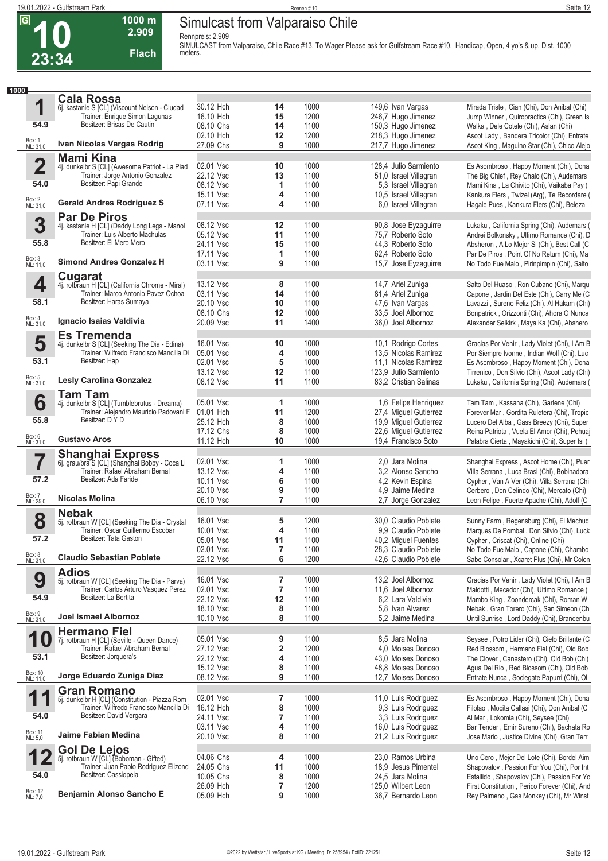**Cala Rossa**

**10**

**23:34**

**1**

**1000**

 $\overline{G}$ 

**Rennpreis: 2.909**



**1000 m**

|                                 |    | Rennen #10   |                                               | Seite 12                                                                                                                        |
|---------------------------------|----|--------------|-----------------------------------------------|---------------------------------------------------------------------------------------------------------------------------------|
| Simulcast from Valparaiso Chile |    |              |                                               |                                                                                                                                 |
|                                 |    |              |                                               |                                                                                                                                 |
| Rennpreis: 2.909                |    |              |                                               | SIMULCAST from Valparaiso, Chile Race #13. To Wager Please ask for Gulfstream Race #10. Handicap, Open, 4 yo's & up, Dist. 1000 |
| meters.                         |    |              |                                               |                                                                                                                                 |
|                                 |    |              |                                               |                                                                                                                                 |
|                                 |    |              |                                               |                                                                                                                                 |
|                                 |    |              |                                               |                                                                                                                                 |
|                                 |    |              |                                               |                                                                                                                                 |
| 30.12 Hch                       | 14 | 1000         | 149,6 Ivan Vargas                             | Mirada Triste, Cian (Chi), Don Anibal (Chi)                                                                                     |
|                                 |    |              |                                               |                                                                                                                                 |
| 16.10 Hch                       | 15 | 1200         | 246,7 Hugo Jimenez                            | Jump Winner, Quiropractica (Chi), Green Is                                                                                      |
| 08.10 Chs                       | 14 | 1100         | 150,3 Hugo Jimenez                            | Walka, Dele Cotele (Chi), Aslan (Chi)                                                                                           |
| 02.10 Hch                       | 12 | 1200         | 218,3 Hugo Jimenez                            | Ascot Lady, Bandera Tricolor (Chi), Entrate                                                                                     |
| 27.09 Chs                       | 9  | 1000         | 217,7 Hugo Jimenez                            | Ascot King, Maguino Star (Chi), Chico Alejo                                                                                     |
|                                 |    |              |                                               |                                                                                                                                 |
| 02.01 Vsc<br>iad                | 10 | 1000         | 128,4 Julio Sarmiento                         | Es Asombroso, Happy Moment (Chi), Dona                                                                                          |
| 22.12 Vsc                       | 13 | 1100         | 51,0 Israel Villagran                         | The Big Chief, Rey Chalo (Chi), Audemars                                                                                        |
| 08.12 Vsc                       |    | 1100         | 5,3 Israel Villagran                          | Mami Kina, La Chivito (Chi), Vaikaba Pay (                                                                                      |
| 15.11 Vsc<br>07.11 Vsc          | 4  | 1100<br>1100 | 10,5 Israel Villagran<br>6,0 Israel Villagran | Kankura Flers, Twizel (Arg), Te Recordare (<br>Hagale Pues, Kankura Flers (Chi), Beleza                                         |

|                         | 6. kastanie S [CL] (Viscount Nelson - Ciudad                                  | 30.12 Hch              | 14                      | 1000         | 149,6 Ivan Vargas                        | Mirada Triste, Cian (Chi), Don Anibal (Chi)                                              |
|-------------------------|-------------------------------------------------------------------------------|------------------------|-------------------------|--------------|------------------------------------------|------------------------------------------------------------------------------------------|
|                         | Trainer: Enrique Simon Lagunas                                                | 16.10 Hch              | 15                      | 1200         | 246,7 Hugo Jimenez                       | Jump Winner, Quiropractica (Chi), Green Is                                               |
| 54.9                    | Besitzer: Brisas De Cautin                                                    | 08.10 Chs              | 14                      | 1100         | 150,3 Hugo Jimenez                       | Walka, Dele Cotele (Chi), Aslan (Chi)                                                    |
|                         |                                                                               | 02.10 Hch              | 12                      | 1200         | 218,3 Hugo Jimenez                       | Ascot Lady, Bandera Tricolor (Chi), Entrate                                              |
| Box: 1<br>ML: 31,0      | Ivan Nicolas Vargas Rodrig                                                    | 27.09 Chs              | 9                       | 1000         | 217,7 Hugo Jimenez                       | Ascot King, Maguino Star (Chi), Chico Alejo                                              |
|                         | <b>Mami Kina</b>                                                              |                        |                         |              |                                          |                                                                                          |
| $\overline{\mathbf{2}}$ | 4j. dunkelbr S [CL] (Awesome Patriot - La Piad                                | 02.01 Vsc              | 10                      | 1000         | 128,4 Julio Sarmiento                    | Es Asombroso, Happy Moment (Chi), Dona                                                   |
|                         | Trainer: Jorge Antonio Gonzalez                                               | 22.12 Vsc              | 13                      | 1100         | 51,0 Israel Villagran                    | The Big Chief, Rey Chalo (Chi), Audemars                                                 |
| 54.0                    | Besitzer: Papi Grande                                                         | 08.12 Vsc              | 1                       | 1100         |                                          | Mami Kina, La Chivito (Chi), Vaikaba Pay (                                               |
|                         |                                                                               | 15.11 Vsc              |                         |              | 5,3 Israel Villagran                     |                                                                                          |
| Box: 2<br>ML: 31,0      | <b>Gerald Andres Rodriguez S</b>                                              |                        | 4                       | 1100         | 10,5 Israel Villagran                    | Kankura Flers, Twizel (Arg), Te Recordare (                                              |
|                         |                                                                               | 07.11 Vsc              | 4                       | 1100         | 6,0 Israel Villagran                     | Hagale Pues, Kankura Flers (Chi), Beleza                                                 |
|                         | <b>Par De Piros</b>                                                           |                        |                         |              |                                          |                                                                                          |
| 3                       | 4j. kastanie H [CL] (Daddy Long Legs - Manol                                  | 08.12 Vsc              | 12                      | 1100         | 90,8 Jose Eyzaguirre                     | Lukaku, California Spring (Chi), Audemars (                                              |
|                         | Trainer: Luis Alberto Machulas                                                | 05.12 Vsc              | 11                      | 1100         | 75,7 Roberto Soto                        | Andrei Bolkonsky, Ultimo Romance (Chi), D                                                |
| 55.8                    | Besitzer: El Mero Mero                                                        | 24.11 Vsc              | 15                      | 1100         | 44,3 Roberto Soto                        | Absheron, A Lo Mejor Si (Chi), Best Call (C                                              |
|                         |                                                                               | 17.11 Vsc              | 1                       | 1100         | 62.4 Roberto Soto                        | Par De Piros, Point Of No Return (Chi), Ma                                               |
| Box: 3<br>ML: 11,0      | <b>Simond Andres Gonzalez H</b>                                               | 03.11 Vsc              | 9                       | 1100         | 15,7 Jose Eyzaguirre                     | No Todo Fue Malo, Pirinpimpin (Chi), Salto                                               |
|                         |                                                                               |                        |                         |              |                                          |                                                                                          |
|                         | <b>Cugarat</b>                                                                |                        |                         |              |                                          |                                                                                          |
| 4                       | 4j. rotbraun H [CL] (California Chrome - Miral)                               | 13.12 Vsc              | 8                       | 1100         | 14,7 Ariel Zuniga                        | Salto Del Huaso, Ron Cubano (Chi), Marqu                                                 |
|                         | Trainer: Marco Antonio Pavez Ochoa                                            | 03.11 Vsc              | 14                      | 1100         | 81,4 Ariel Zuniga                        | Capone, Jardin Del Este (Chi), Carry Me (C)                                              |
| 58.1                    | Besitzer: Haras Sumaya                                                        | 20.10 Vsc              | 10                      | 1100         | 47,6 Ivan Vargas                         | Lavazzi, Sureno Feliz (Chi), Al Hakam (Chi)                                              |
|                         |                                                                               | 08.10 Chs              | 12                      | 1000         | 33,5 Joel Albornoz                       | Bonpatrick, Orizzonti (Chi), Ahora O Nunca                                               |
| Box: 4<br>ML: 31,0      | Ignacio Isaias Valdivia                                                       | 20.09 Vsc              | 11                      | 1400         | 36,0 Joel Albornoz                       | Alexander Selkirk, Maya Ka (Chi), Abshero                                                |
|                         | <b>Es Tremenda</b>                                                            |                        |                         |              |                                          |                                                                                          |
| 5                       | 4j. dunkelbr S [CL] (Seeking The Dia - Edina)                                 | 16.01 Vsc              | 10                      | 1000         | 10,1 Rodrigo Cortes                      | Gracias Por Venir, Lady Violet (Chi), I Am B                                             |
|                         | Trainer: Wilfredo Francisco Mancilla Di                                       | 05.01 Vsc              | 4                       | 1000         | 13.5 Nicolas Ramirez                     |                                                                                          |
| 53.1                    | Besitzer: Hap                                                                 |                        |                         |              |                                          | Por Siempre Ivonne, Indian Wolf (Chi), Luc                                               |
|                         |                                                                               | 02.01 Vsc              | 5                       | 1000         | 11.1 Nicolas Ramirez                     | Es Asombroso, Happy Moment (Chi), Dona                                                   |
|                         |                                                                               | 13.12 Vsc              | 12                      | 1100         | 123,9 Julio Sarmiento                    | Tirrenico, Don Silvio (Chi), Ascot Lady (Chi)                                            |
| Box: 5<br>ML: 31,0      | <b>Lesly Carolina Gonzalez</b>                                                | 08.12 Vsc              | 11                      | 1100         | 83,2 Cristian Salinas                    | Lukaku, California Spring (Chi), Audemars (                                              |
|                         | Tam Tam                                                                       |                        |                         |              |                                          |                                                                                          |
| 6                       | 4j. dunkelbr S [CL] (Tumblebrutus - Dreama)                                   | 05.01 Vsc              | 1                       | 1000         | 1,6 Felipe Henriquez                     | Tam Tam, Kassana (Chi), Garlene (Chi)                                                    |
|                         | Trainer: Alejandro Mauricio Padovani F                                        | 01.01 Hch              | 11                      | 1200         | 27,4 Miguel Gutierrez                    | Forever Mar, Gordita Ruletera (Chi), Tropic                                              |
| 55.8                    | Besitzer: D Y D                                                               | 25.12 Hch              | 8                       | 1000         | 19,9 Miguel Gutierrez                    | Lucero Del Alba, Gass Breezy (Chi), Super                                                |
|                         |                                                                               |                        |                         |              |                                          |                                                                                          |
|                         |                                                                               | 17.12 Chs              | 8                       | 1000         | 22,6 Miguel Gutierrez                    | Reina Patriota, Vuela El Amor (Chi), Pehuaj                                              |
| Box: 6<br>ML: 31,0      | <b>Gustavo Aros</b>                                                           | 11.12 Hch              | 10                      | 1000         | 19,4 Francisco Soto                      | Palabra Cierta, Mayakichi (Chi), Super Isi (                                             |
|                         | <b>Shanghai Express</b>                                                       |                        |                         |              |                                          |                                                                                          |
| 7                       | 6j. grau/bra S [CL] (Shanghai Bobby - Coca Li                                 | 02.01 Vsc              | 1                       | 1000         | 2,0 Jara Molina                          | Shanghai Express, Ascot Home (Chi), Puer                                                 |
|                         | Trainer: Rafael Abraham Bernal                                                | 13.12 Vsc              | 4                       | 1100         | 3.2 Alonso Sancho                        | Villa Serrana, Luca Brasi (Chi), Bobinadora                                              |
| 57.2                    | Besitzer: Ada Faride                                                          | 10.11 Vsc              | 6                       | 1100         | 4,2 Kevin Espina                         | Cypher, Van A Ver (Chi), Villa Serrana (Chi                                              |
|                         |                                                                               |                        |                         |              |                                          |                                                                                          |
|                         | Nicolas Molina                                                                | 20.10 Vsc              | 9                       | 1100         | 4,9 Jaime Medina                         | Cerbero, Don Celindo (Chi), Mercato (Chi)                                                |
| Box: 7<br>ML: 25,0      |                                                                               | 06.10 Vsc              | 7                       | 1100         | 2,7 Jorge Gonzalez                       | Leon Felipe, Fuerte Apache (Chi), Adolf (C)                                              |
|                         | <b>Nebak</b>                                                                  |                        |                         |              |                                          |                                                                                          |
| 8                       | 5j. rotbraun W [CL] (Seeking The Dia - Crystal                                | 16.01 Vsc              | 5                       | 1200         | 30.0 Claudio Poblete                     | Sunny Farm, Regensburg (Chi), El Mechud                                                  |
|                         | Trainer: Oscar Guillermo Escobar                                              | 10.01 Vsc              | 4                       | 1100         | 9.9 Claudio Poblete                      | Marques De Pombal, Don Silvio (Chi), Luck                                                |
| 57.2                    | Besitzer: Tata Gaston                                                         | 05.01 Vsc              | 11                      | 1100         | 40,2 Miguel Fuentes                      | Cypher, Criscat (Chi), Online (Chi)                                                      |
|                         |                                                                               | 02.01 Vsc              | 7                       | 1100         | 28,3 Claudio Poblete                     | No Todo Fue Malo, Capone (Chi), Chambo                                                   |
| Box: 8                  | <b>Claudio Sebastian Poblete</b>                                              |                        |                         |              |                                          |                                                                                          |
| ML: 31,0                |                                                                               | 22.12 Vsc              | 6                       | 1200         | 42,6 Claudio Poblete                     | Sabe Consolar, Xcaret Plus (Chi), Mr Colon                                               |
|                         | <b>Adios</b>                                                                  |                        |                         |              |                                          |                                                                                          |
| 9                       | 5j. rotbraun W [CL] (Seeking The Dia - Parva)                                 | 16.01 Vsc              | 7                       | 1000         | 13.2 Joel Albornoz                       | Gracias Por Venir, Lady Violet (Chi), I Am B                                             |
|                         | Trainer: Carlos Arturo Vasquez Perez                                          | 02.01 Vsc              | $\overline{\mathbf{r}}$ | 1100         | 11,6 Joel Albornoz                       | Maldotti, Mecedor (Chi), Ultimo Romance (                                                |
| 54.9                    | Besitzer: La Bertita                                                          | 22.12 Vsc              | 12                      | 1100         | 6,2 Lara Valdivia                        | Mambo King, Zoondercak (Chi), Roman W                                                    |
|                         |                                                                               | 18.10 Vsc              | 8                       | 1100         | 5.8 Ivan Alvarez                         | Nebak, Gran Torero (Chi), San Simeon (Ch                                                 |
| Box: 9<br>ML: 31,0      | <b>Joel Ismael Albornoz</b>                                                   | 10.10 Vsc              | 8                       | 1100         | 5.2 Jaime Medina                         | Until Sunrise, Lord Daddy (Chi), Brandenbu                                               |
|                         |                                                                               |                        |                         |              |                                          |                                                                                          |
|                         | <b>Hermano Fiel</b>                                                           |                        |                         |              |                                          |                                                                                          |
| 1<br>U                  | 7j. rotbraun H [CL] (Seville - Queen Dance)<br>Trainer: Rafael Abraham Bernal | 05.01 Vsc              | 9                       | 1100         | 8,5 Jara Molina                          | Seysee, Potro Lider (Chi), Cielo Brillante (C                                            |
|                         |                                                                               | 27.12 Vsc              | 2                       | 1200         | 4.0 Moises Donoso                        | Red Blossom, Hermano Fiel (Chi), Old Bob                                                 |
| 53.1                    | Besitzer: Jorquera's                                                          | 22.12 Vsc              | 4                       | 1100         | 43,0 Moises Donoso                       | The Clover, Canastero (Chi), Old Bob (Chi)                                               |
|                         |                                                                               | 15.12 Vsc              | 8                       | 1100         | 48.8 Moises Donoso                       | Agua Del Rio, Red Blossom (Chi), Old Bob                                                 |
| Box: 10<br>ML: 11,0     | Jorge Eduardo Zuniga Diaz                                                     | 08.12 Vsc              | 9                       | 1100         | 12,7 Moises Donoso                       | Entrate Nunca, Sociegate Papurri (Chi), OI                                               |
|                         |                                                                               |                        |                         |              |                                          |                                                                                          |
|                         | <b>Gran Romano</b>                                                            |                        |                         |              |                                          |                                                                                          |
| 1                       | 5j. dunkelbr H [CL] (Constitution - Piazza Rom                                | 02.01 Vsc              | 7                       | 1000         | 11,0 Luis Rodriguez                      | Es Asombroso, Happy Moment (Chi), Dona                                                   |
|                         | Trainer: Wilfredo Francisco Mancilla Di                                       | 16.12 Hch              | 8                       | 1000         | 9,3 Luis Rodriguez                       | Filolao, Mocita Callasi (Chi), Don Anibal (C                                             |
| 54.0                    | Besitzer: David Vergara                                                       | 24.11 Vsc              | $\overline{\mathbf{r}}$ | 1100         | 3,3 Luis Rodriguez                       | Al Mar, Lokomia (Chi), Seysee (Chi)                                                      |
|                         |                                                                               | 03.11 Vsc              | 4                       | 1100         | 16,0 Luis Rodriguez                      | Bar Tender, Emir Sureno (Chi), Bachata Ro                                                |
| Box: 11<br>ML: 5,0      | Jaime Fabian Medina                                                           | 20.10 Vsc              | 8                       | 1100         | 21,2 Luis Rodriguez                      | Jose Mario, Justice Divine (Chi), Gran Terr                                              |
|                         |                                                                               |                        |                         |              |                                          |                                                                                          |
|                         | Gol De Lejos                                                                  | 04.06 Chs              | 4                       | 1000         | 23,0 Ramos Urbina                        | Uno Cero, Mejor Del Lote (Chi), Bordel Aim                                               |
|                         | 5j. rotbraun W [CL] (Boboman - Gifted)                                        |                        |                         |              |                                          |                                                                                          |
| 54.0                    | Trainer: Juan Pablo Rodriguez Elizond                                         | 24.05 Chs              | 11                      | 1000         | 18,9 Jesus Pimentel                      | Shapovalov, Passion For You (Chi), Por Int                                               |
|                         |                                                                               |                        |                         |              |                                          |                                                                                          |
|                         | Besitzer: Cassiopeia                                                          | 10.05 Chs              | 8                       | 1000         | 24,5 Jara Molina                         | Estallido, Shapovalov (Chi), Passion For Yo                                              |
| Box: 12<br>ML: 7,0      | Benjamin Alonso Sancho E                                                      | 26.09 Hch<br>05.09 Hch | 7<br>9                  | 1200<br>1000 | 125,0 Wilbert Leon<br>36,7 Bernardo Leon | First Constitution, Perico Forever (Chi), And<br>Rey Palmeno, Gas Monkey (Chi), Mr Winst |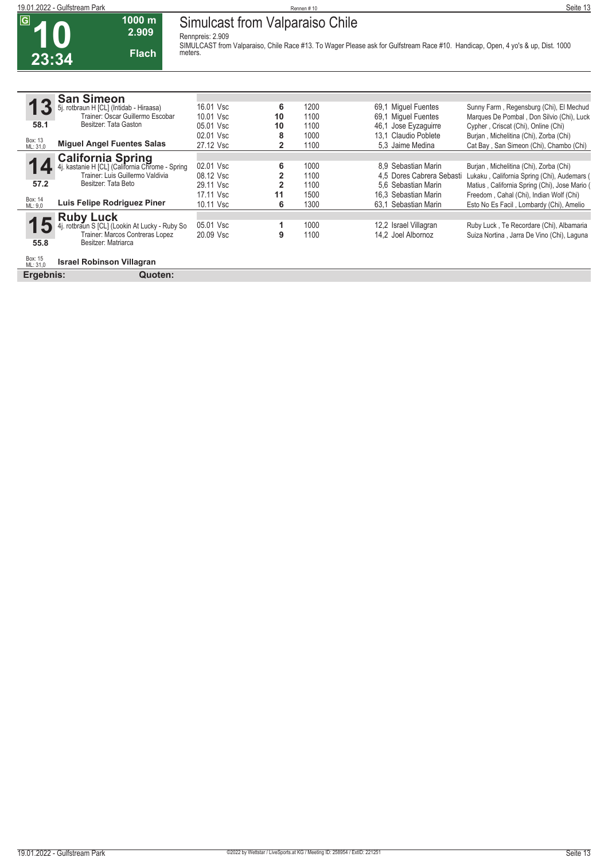**10**

 $\overline{G}$ 

**23:34**

**Simulcast from Valparaiso Chile Rennpreis: 2.909**

**1000 m 2.909 Flach**

**SIMULCAST from Valparaiso, Chile Race #13. To Wager Please ask for Gulfstream Race #10. Handicap, Open, 4 yo's & up, Dist. 1000 meters.** 

|                     | <b>San Simeon</b>                                                           |           |                |      |      |                           |                                               |
|---------------------|-----------------------------------------------------------------------------|-----------|----------------|------|------|---------------------------|-----------------------------------------------|
|                     | rotbraun H [CL] (Intidab - Hiraasa)                                         | 16.01 Vsc | 6              | 1200 | 69.1 | <b>Miguel Fuentes</b>     | Sunny Farm, Regensburg (Chi), El Mechud       |
|                     | Trainer: Oscar Guillermo Escobar                                            | 10.01 Vsc | 10             | 1100 | 69.1 | <b>Miquel Fuentes</b>     | Marques De Pombal, Don Silvio (Chi), Luck     |
| 58.1                | Besitzer: Tata Gaston                                                       | 05.01 Vsc | 10             | 1100 | 46.1 | Jose Eyzaguirre           | Cypher, Criscat (Chi), Online (Chi)           |
|                     |                                                                             | 02.01 Vsc | 8              | 1000 | 13.1 | Claudio Poblete           | Burjan, Michelitina (Chi), Zorba (Chi)        |
| Box: 13<br>ML: 31,0 | <b>Miguel Angel Fuentes Salas</b>                                           | 27.12 Vsc | $\overline{2}$ | 1100 |      | 5.3 Jaime Medina          | Cat Bay, San Simeon (Chi), Chambo (Chi)       |
|                     |                                                                             |           |                |      |      |                           |                                               |
|                     | <b>California Spring</b><br>4j. kastanie H [CL] (California Chrome - Spring | 02.01 Vsc | 6              | 1000 |      | 8.9 Sebastian Marin       | Burjan, Michelitina (Chi), Zorba (Chi)        |
|                     | Trainer: Luis Guillermo Valdivia                                            | 08.12 Vsc |                | 1100 |      | 4,5 Dores Cabrera Sebasti | Lukaku, California Spring (Chi), Audemars (   |
| 57.2                | Besitzer: Tata Beto                                                         | 29.11 Vsc | 2              | 1100 |      | 5.6 Sebastian Marin       | Matius, California Spring (Chi), Jose Mario ( |
|                     |                                                                             | 17.11 Vsc | 11             | 1500 |      | 16.3 Sebastian Marin      | Freedom, Cahal (Chi), Indian Wolf (Chi)       |
| Box: 14<br>ML: 9.0  | Luis Felipe Rodriguez Piner                                                 | 10.11 Vsc | 6              | 1300 |      | 63.1 Sebastian Marin      | Esto No Es Facil, Lombardy (Chi), Amelio      |
|                     | <b>Ruby Luck</b>                                                            |           |                |      |      |                           |                                               |
| 15                  | rotbraun S [CL] (Lookin At Lucky - Ruby So                                  | 05.01 Vsc |                | 1000 |      | 12,2 Israel Villagran     | Ruby Luck, Te Recordare (Chi), Albamaria      |
|                     | Trainer: Marcos Contreras Lopez                                             | 20.09 Vsc | 9              | 1100 |      | 14,2 Joel Albornoz        | Suiza Nortina, Jarra De Vino (Chi), Laguna    |
| 55.8                | Besitzer: Matriarca                                                         |           |                |      |      |                           |                                               |
|                     |                                                                             |           |                |      |      |                           |                                               |
| Box: 15<br>ML: 31,0 | <b>Israel Robinson Villagran</b>                                            |           |                |      |      |                           |                                               |
| Ergebnis:           | Quoten:                                                                     |           |                |      |      |                           |                                               |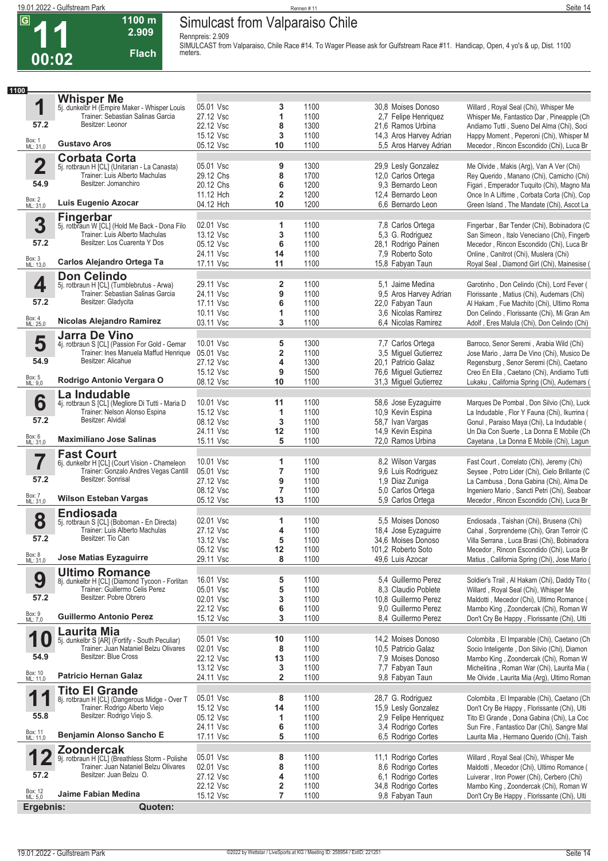## **Simulcast from Valparaiso Chile**

**1100 m 2.909** 

**Flach**

**11 00:02**

 $\overline{G}$ 

**Rennpreis: 2.909 SIMULCAST from Valparaiso, Chile Race #14. To Wager Please ask for Gulfstream Race #11. Handicap, Open, 4 yo's & up, Dist. 1100 meters.** 

| 1100                    |                                                                                        |                        |                              |              |                                            |                                                                                           |
|-------------------------|----------------------------------------------------------------------------------------|------------------------|------------------------------|--------------|--------------------------------------------|-------------------------------------------------------------------------------------------|
|                         | <b>Whisper Me</b>                                                                      |                        |                              |              |                                            |                                                                                           |
| 1                       | 5j. dunkelbr H (Empire Maker - Whisper Louis<br>Trainer: Sebastian Salinas Garcia      | 05.01 Vsc<br>27.12 Vsc | 3<br>1                       | 1100<br>1100 | 30.8 Moises Donoso<br>2,7 Felipe Henriquez | Willard, Royal Seal (Chi), Whisper Me<br>Whisper Me, Fantastico Dar, Pineapple (Ch        |
| 57.2                    | Besitzer: Leonor                                                                       | 22.12 Vsc              | 8                            | 1300         | 21,6 Ramos Urbina                          | Andiamo Tutti, Sueno Del Alma (Chi), Soci                                                 |
|                         |                                                                                        | 15.12 Vsc              | 3                            | 1100         | 14,3 Aros Harvey Adrian                    | Happy Moment, Peperoni (Chi), Whisper M                                                   |
| Box: 1<br>ML: 31,0      | <b>Gustavo Aros</b>                                                                    | 05.12 Vsc              | 10                           | 1100         | 5,5 Aros Harvey Adrian                     | Mecedor, Rincon Escondido (Chi), Luca Br                                                  |
|                         | <b>Corbata Corta</b>                                                                   |                        |                              |              |                                            |                                                                                           |
| $\overline{\mathbf{2}}$ | 5j. rotbraun H [CL] (Unitarian - La Canasta)                                           | 05.01 Vsc              | 9                            | 1300         | 29,9 Lesly Gonzalez                        | Me Olvide, Makis (Arg), Van A Ver (Chi)                                                   |
|                         | Trainer: Luis Alberto Machulas                                                         | 29.12 Chs              | 8                            | 1700         | 12,0 Carlos Ortega                         | Rey Querido, Manano (Chi), Camicho (Chi)                                                  |
| 54.9                    | Besitzer: Jomanchiro                                                                   | 20.12 Chs              | 6                            | 1200         | 9.3 Bernardo Leon                          | Figari, Emperador Tuquito (Chi), Magno Ma                                                 |
|                         |                                                                                        | 11.12 Hch              | $\overline{\mathbf{2}}$      | 1200         | 12.4 Bernardo Leon                         | Once In A Liftime, Corbata Corta (Chi), Cop                                               |
| Box: 2<br>ML: 31,0      | Luis Eugenio Azocar                                                                    | 04.12 Hch              | 10                           | 1200         | 6.6 Bernardo Leon                          | Green Island, The Mandate (Chi), Ascot La                                                 |
|                         | <b>Fingerbar</b>                                                                       |                        |                              |              |                                            |                                                                                           |
| 3                       | 5j. rotbraun W [CL] (Hold Me Back - Dona Filo<br>Trainer: Luis Alberto Machulas        | 02.01 Vsc<br>13.12 Vsc | 1<br>3                       | 1100<br>1100 | 7,8 Carlos Ortega                          | Fingerbar, Bar Tender (Chi), Bobinadora (C                                                |
| 57.2                    | Besitzer: Los Cuarenta Y Dos                                                           | 05.12 Vsc              | 6                            | 1100         | 5,3 G. Rodriguez<br>28,1 Rodrigo Painen    | San Simeon, Italo Veneciano (Chi), Fingerb<br>Mecedor, Rincon Escondido (Chi), Luca Br    |
|                         |                                                                                        | 24.11 Vsc              | 14                           | 1100         | 7,9 Roberto Soto                           | Online, Canitrot (Chi), Muslera (Chi)                                                     |
| Box: 3<br>ML: 13,0      | Carlos Alejandro Ortega Ta                                                             | 17.11 Vsc              | 11                           | 1100         | 15,8 Fabyan Taun                           | Royal Seal, Diamond Girl (Chi), Mainesise (                                               |
|                         | <b>Don Celindo</b>                                                                     |                        |                              |              |                                            |                                                                                           |
| 4                       | 5j. rotbraun H [CL] (Tumblebrutus - Arwa)                                              | 29.11 Vsc              | $\overline{\mathbf{2}}$      | 1100         | 5.1 Jaime Medina                           | Garotinho, Don Celindo (Chi), Lord Fever (                                                |
|                         | Trainer: Sebastian Salinas Garcia                                                      | 24.11 Vsc              | 9                            | 1100         | 9,5 Aros Harvey Adrian                     | Florissante, Matius (Chi), Audemars (Chi)                                                 |
| 57.2                    | Besitzer: Gladycita                                                                    | 17.11 Vsc              | 6                            | 1100         | 22,0 Fabyan Taun                           | Al Hakam, Fue Machito (Chi), Ultimo Roma                                                  |
|                         | Nicolas Alejandro Ramirez                                                              | 10.11 Vsc              | 1                            | 1100         | 3.6 Nicolas Ramirez                        | Don Celindo, Florissante (Chi), Mi Gran Am                                                |
| Box: 4<br>ML: 25,0      |                                                                                        | 03.11 Vsc              | 3                            | 1100         | 6,4 Nicolas Ramirez                        | Adolf, Eres Malula (Chi), Don Celindo (Chi)                                               |
|                         | <b>Jarra De Vino</b>                                                                   | 10.01 Vsc              |                              |              |                                            |                                                                                           |
| 5                       | 4j. rotbraun S [CL] (Passion For Gold - Gemar<br>Trainer: Ines Manuela Maffud Henrique | 05.01 Vsc              | 5<br>$\overline{\mathbf{2}}$ | 1300<br>1100 | 7,7 Carlos Ortega<br>3,5 Miguel Gutierrez  | Barroco, Senor Seremi, Arabia Wild (Chi)<br>Jose Mario, Jarra De Vino (Chi), Musico De    |
| 54.9                    | Besitzer: Alicahue                                                                     | 27.12 Vsc              | 4                            | 1300         | 20.1 Patricio Galaz                        | Regensburg, Senor Seremi (Chi), Caetano                                                   |
|                         |                                                                                        | 15.12 Vsc              | 9                            | 1500         | 76,6 Miguel Gutierrez                      | Creo En Ella, Caetano (Chi), Andiamo Tutti                                                |
| Box: 5<br>ML: 9,0       | Rodrigo Antonio Vergara O                                                              | 08.12 Vsc              | 10                           | 1100         | 31,3 Miquel Gutierrez                      | Lukaku, California Spring (Chi), Audemars (                                               |
|                         | La Indudable                                                                           |                        |                              |              |                                            |                                                                                           |
| 6                       | 4j. rotbraun S [CL] (Megliore Di Tutti - Maria D                                       | 10.01 Vsc              | 11                           | 1100         | 58,6 Jose Eyzaguirre                       | Marques De Pombal, Don Silvio (Chi), Luck                                                 |
|                         | Trainer: Nelson Alonso Espina                                                          | 15.12 Vsc              | 1                            | 1100         | 10,9 Kevin Espina                          | La Indudable, Flor Y Fauna (Chi), Ikurrina (                                              |
| 57.2                    | Besitzer: Alvidal                                                                      | 08.12 Vsc              | 3                            | 1100         | 58,7 Ivan Vargas                           | Gonul, Paraiso Maya (Chi), La Indudable (                                                 |
| Box: 6<br>ML: 31,0      | <b>Maximiliano Jose Salinas</b>                                                        | 24.11 Vsc              | 12                           | 1100         | 14,9 Kevin Espina                          | Un Dia Con Suerte, La Donna E Mobile (Ch                                                  |
|                         |                                                                                        | 15.11 Vsc              | 5                            | 1100         | 72,0 Ramos Urbina                          | Cayetana, La Donna E Mobile (Chi), Lagun                                                  |
| 7                       | <b>Fast Court</b>                                                                      | 10.01 Vsc              | 1                            | 1100         | 8,2 Wilson Vargas                          | Fast Court, Correlato (Chi), Jeremy (Chi)                                                 |
|                         | 6j. dunkelbr H [CL] (Court Vision - Chameleon<br>Trainer: Gonzalo Andres Vegas Cantill | 05.01 Vsc              | 7                            | 1100         | 9,6 Luis Rodriguez                         | Seysee, Potro Lider (Chi), Cielo Brillante (C                                             |
| 57.2                    | Besitzer: Sonrisal                                                                     | 27.12 Vsc              | 9                            | 1100         | 1,9 Diaz Zuniga                            | La Cambusa, Dona Gabina (Chi), Alma De                                                    |
|                         |                                                                                        | 08.12 Vsc              | 7                            | 1100         | 5,0 Carlos Ortega                          | Ingeniero Mario, Sancti Petri (Chi), Seaboar                                              |
| Box: 7<br>ML: 31,0      | <b>Wilson Esteban Vargas</b>                                                           | 05.12 Vsc              | 13                           | 1100         | 5.9 Carlos Ortega                          | Mecedor, Rincon Escondido (Chi), Luca Br                                                  |
|                         | <b>Endiosada</b>                                                                       |                        |                              |              |                                            |                                                                                           |
| 8                       | 5j. rotbraun S [CL] (Boboman - En Directa)<br>Trainer: Luis Alberto Machulas           | 02.01 Vsc              | 1                            | 1100         | 5.5 Moises Donoso                          | Endiosada, Taishan (Chi), Brusena (Chi)                                                   |
|                         |                                                                                        | 27.12 Vsc              | 4                            | 1100         | 18,4 Jose Eyzaguirre                       | Cahal, Sorprendeme (Chi), Gran Terroir (C                                                 |
| 57.2                    | Besitzer: Tio Can                                                                      | 13.12 Vsc              | 5                            | 1100         | 34,6 Moises Donoso                         | Villa Serrana, Luca Brasi (Chi), Bobinadora                                               |
| Box: 8<br>ML: 31,0      | Jose Matias Eyzaguirre                                                                 | 05.12 Vsc<br>29.11 Vsc | 12<br>8                      | 1100<br>1100 | 101,2 Roberto Soto<br>49,6 Luis Azocar     | Mecedor, Rincon Escondido (Chi), Luca Br<br>Matius, California Spring (Chi), Jose Mario ( |
|                         |                                                                                        |                        |                              |              |                                            |                                                                                           |
| 9                       | <b>Ultimo Romance</b>                                                                  | 16.01 Vsc              | 5                            | 1100         | 5,4 Guillermo Perez                        | Soldier's Trail, Al Hakam (Chi), Daddy Tito (                                             |
|                         | 8j. dunkelbr H [CL] (Diamond Tycoon - Forlitan<br>Trainer: Guillermo Celis Perez       | 05.01 Vsc              | 5                            | 1100         | 8.3 Claudio Poblete                        | Willard, Royal Seal (Chi), Whisper Me                                                     |
| 57.2                    | Besitzer: Pobre Obrero                                                                 | 02.01 Vsc              | 3                            | 1100         | 10,8 Guillermo Perez                       | Maldotti, Mecedor (Chi), Ultimo Romance (                                                 |
|                         |                                                                                        | 22.12 Vsc              | 6                            | 1100         | 9.0 Guillermo Perez                        | Mambo King, Zoondercak (Chi), Roman W                                                     |
| Box: 9<br>ML: 7,0       | <b>Guillermo Antonio Perez</b>                                                         | 15.12 Vsc              | 3                            | 1100         | 8,4 Guillermo Perez                        | Don't Cry Be Happy, Florissante (Chi), Ulti                                               |
|                         | <b>Laurita Mia</b>                                                                     |                        |                              |              |                                            |                                                                                           |
| 1                       | 5j. dunkelbr S [AR] (Fortify - South Peculiar)                                         | 05.01 Vsc              | 10                           | 1100         | 14,2 Moises Donoso                         | Colombita, El Imparable (Chi), Caetano (Ch                                                |
| 54.9                    | Trainer: Juan Nataniel Belzu Olivares<br>Besitzer: Blue Cross                          | 02.01 Vsc              | 8                            | 1100         | 10.5 Patricio Galaz                        | Socio Inteligente, Don Silvio (Chi), Diamon                                               |
|                         |                                                                                        | 22.12 Vsc              | 13                           | 1100         | 7.9 Moises Donoso<br>7,7 Fabyan Taun       | Mambo King, Zoondercak (Chi), Roman W                                                     |
| Box: 10<br>ML: 11,0     | <b>Patricio Hernan Galaz</b>                                                           | 13.12 Vsc<br>24.11 Vsc | 3<br>$\overline{\mathbf{2}}$ | 1100<br>1100 | 9,8 Fabyan Taun                            | Michelitina, Roman War (Chi), Laurita Mia (<br>Me Olvide, Laurita Mia (Arg), Ultimo Roman |
|                         |                                                                                        |                        |                              |              |                                            |                                                                                           |
| 1                       | <b>Tito El Grande</b><br>8j. rotbraun H [CL] (Dangerous Midge - Over T                 | 05.01 Vsc              | 8                            | 1100         | 28,7 G. Rodriguez                          | Colombita, El Imparable (Chi), Caetano (Ch                                                |
|                         | Trainer: Rodrigo Alberto Viejo                                                         | 15.12 Vsc              | 14                           | 1100         | 15,9 Lesly Gonzalez                        | Don't Cry Be Happy, Florissante (Chi), Ulti                                               |
| 55.8                    | Besitzer: Rodrigo Viejo S.                                                             | 05.12 Vsc              | 1                            | 1100         | 2,9 Felipe Henriquez                       | Tito El Grande, Dona Gabina (Chi), La Coc                                                 |
|                         |                                                                                        | 24.11 Vsc              | 6                            | 1100         | 3,4 Rodrigo Cortes                         | Sun Fire, Fantastico Dar (Chi), Sangre Mal                                                |
| Box: 11<br>ML: 11,0     | Benjamin Alonso Sancho E                                                               | 17.11 Vsc              | 5                            | 1100         | 6,5 Rodrigo Cortes                         | Laurita Mia, Hermano Querido (Chi), Taish                                                 |
|                         | <b>Zoondercak</b>                                                                      |                        |                              |              |                                            |                                                                                           |
| 1<br>உ                  | 9j. rotbraun H [CL] (Breathless Storm - Polishe                                        | 05.01 Vsc              | 8                            | 1100         | 11,1 Rodrigo Cortes                        | Willard, Royal Seal (Chi), Whisper Me                                                     |
| 57.2                    | Trainer: Juan Nataniel Belzu Olivares<br>Besitzer: Juan Belzu O.                       | 02.01 Vsc              | 8                            | 1100         | 8,6 Rodrigo Cortes                         | Maldotti, Mecedor (Chi), Ultimo Romance (                                                 |
|                         |                                                                                        | 27.12 Vsc<br>22.12 Vsc | 4<br>2                       | 1100<br>1100 | 6,1 Rodrigo Cortes<br>34,8 Rodrigo Cortes  | Luiverar, Iron Power (Chi), Cerbero (Chi)<br>Mambo King, Zoondercak (Chi), Roman W        |
| Box: 12<br>ML: 5,0      | Jaime Fabian Medina                                                                    | 15.12 Vsc              | $\overline{7}$               | 1100         | 9,8 Fabyan Taun                            | Don't Cry Be Happy, Florissante (Chi), Ulti                                               |
| Ergebnis:               | Quoten:                                                                                |                        |                              |              |                                            |                                                                                           |
|                         |                                                                                        |                        |                              |              |                                            |                                                                                           |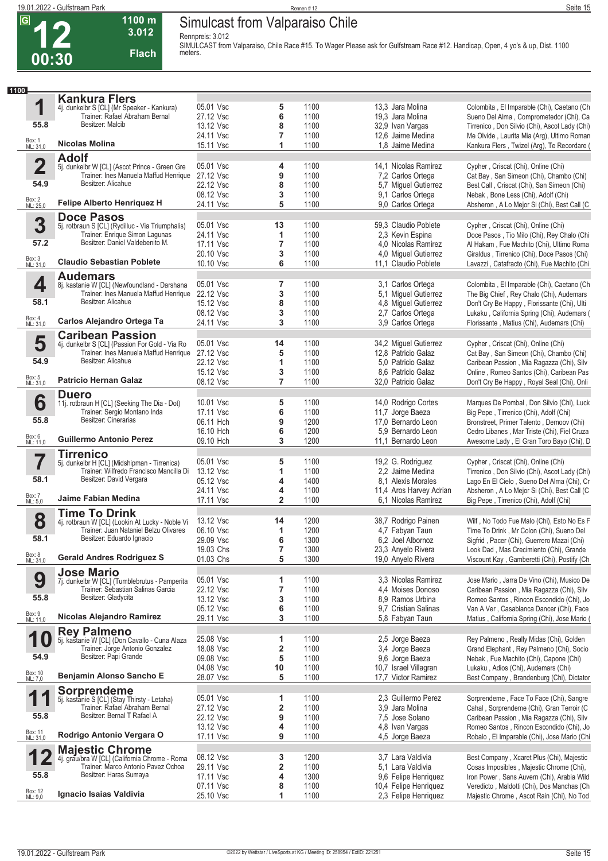$\overline{G}$ 

## **Simulcast from Valparaiso Chile**

**Rennpreis: 3.012**

**1100 m 3.012** 

**12 00:30 Flach SIMULCAST from Valparaiso, Chile Race #15. To Wager Please ask for Gulfstream Race #12. Handicap, Open, 4 yo's & up, Dist. 1100 meters. 1 1100** Box: 1 ML: 31,0 **55.8 Kankura Flers** dunkelbr S [CL] (Mr Speaker - Kankura) Trainer: Rafael Abraham Bernal Besitzer: Malcib **Nicolas Molina** 05.01 Vsc **5** 1100 13,3 Jara Molina Colombita , El Imparable (Chi), Caetano (Ch 27.12 Vsc **6** 1100 19,3 Jara Molina Sueno Del Alma , Comprometedor (Chi), Ca<br>13.12 Vsc **8** 1100 32,9 Ivan Vargas Tirrenico , Don Silvio (Chi), Ascot Lady (Chi) 13.12 Vsc **8** 1100 32,9 Ivan Vargas Tirrenico , Don Silvio (Chi), Ascot Lady (Chi) **7** 1100 12,6 Jaime Medina Me Olvide , Laurita Mia (Arg), Ultimo Roman 15.11 Vsc **1** 1100 1,8 Jaime Medina Kankura Flers , Twizel (Arg), Te Recordare ( **2** Box: 2 ML: 25,0 **54.9 Adolf** 5j. dunkelbr W [CL] (Ascot Prince - Green Gre Trainer: Ines Manuela Maffud Henrique Besitzer: Alicahue **Felipe Alberto Henriquez H** 05.01 Vsc **4** 1100 14,1 Nicolas Ramirez Cypher , Criscat (Chi), Online (Chi)<br>27.12 Vsc **9** 1100 7.2 Carlos Ortega Cat Bay , San Simeon (Chi), Chaml Cat Bay, San Simeon (Chi), Chambo (Chi) 22.12 Vsc **8** 1100 5,7 Miguel Gutierrez Best Call , Criscat (Chi), San Simeon (Chi)<br>1100 9,1 Carlos Ortega Nebak , Bone Less (Chi), Adolf (Chi) 08.12 Vsc **3** 1100 9,1 Carlos Ortega Nebak , Bone Less (Chi), Adolf (Chi)<br>24.11 Vsc **5** 1100 9,0 Carlos Ortega Absheron , A Lo Mejor Si (Chi), Best Absheron , A Lo Mejor Si (Chi), Best Call (C **3** Box: 3 ML: 31,0 **57.2 Doce Pasos** 5j. rotbraun S [CL] (Rydilluc - Via Triumphalis) Trainer: Enrique Simon Lagunas Besitzer: Daniel Valdebenito M. **Claudio Sebastian Poblete**  05.01 Vsc **13** 1100 59,3 Claudio Poblete Cypher , Criscat (Chi), Online (Chi) 24.11 Vsc **1** 1100 2,3 Kevin Espina Doce Pasos , Tio Milo (Chi), Rey Chalo (Chi Al Hakam, Fue Machito (Chi), Ultimo Roma 20.10 Vsc **3** 1100 4,0 Miguel Gutierrez Giraldus , Tirrenico (Chi), Doce Pasos (Chi) Lavazzi, Catafracto (Chi), Fue Machito (Chi **4** Box: 4 ML: 31,0 **58.1 Audemars** 8j. kastanie W [CL] (Newfoundland - Darshana Trainer: Ines Manuela Maffud Henrique Besitzer: Alicahue **Carlos Alejandro Ortega Ta** 05.01 Vsc **7** 1100 3,1 Carlos Ortega Colombita , El Imparable (Chi), Caetano (Ch<br>
22.12 Vsc 3 1100 5,1 Miguel Gutierrez The Big Chief , Rey Chalo (Chi), Audemars 22.12 Vsc **3** 1100 5,1 Miguel Gutierrez The Big Chief , Rey Chalo (Chi), Audemars 15.12 Vsc **8** 1100 4,8 Miguel Gutierrez Don't Cry Be Happy , Florissante (Chi), Ulti<br>16.12 Vsc **3** 1100 2,7 Carlos Ortega Lukaku , California Spring (Chi), Audemars Lukaku , California Spring (Chi), Audemars ( 24.11 Vsc **3** 1100 3,9 Carlos Ortega Florissante , Matius (Chi), Audemars (Chi) **5** Box: 5 ML: 31,0 **54.9 Caribean Passion** 4j. dunkelbr S [CL] (Passion For Gold - Via Ro Trainer: Ines Manuela Maffud Henrique Besitzer: Alicahue **Patricio Hernan Galaz** 05.01 Vsc **14** 1100 34,2 Miguel Gutierrez Cypher , Criscat (Chi), Online (Chi)<br>27.12 Vsc **5** 1100 12,8 Patricio Galaz Cat Bay , San Simeon (Chi), Cham 27.12 Vsc **5** 1100 12,8 Patricio Galaz Cat Bay , San Simeon (Chi), Chambo (Chi)<br>22.12 Vsc **1** 1100 5.0 Patricio Galaz Caribean Passion Mia Bagazza (Chi), Silv Caribean Passion, Mia Ragazza (Chi), Silv 15.12 Vsc **3** 1100 8,6 Patricio Galaz Online , Romeo Santos (Chi), Caribean Pas 08.12 Vsc **7** 1100 32,0 Patricio Galaz Don't Cry Be Happy , Royal Seal (Chi), Onli **6** Box: 6 ML: 11,0 **55.8 Duero** 11j. rotbraun H [CL] (Seeking The Dia - Dot) Trainer: Sergio Montano Inda Besitzer: Cinerarias **Guillermo Antonio Perez** 10.01 Vsc **5** 1100 14,0 Rodrigo Cortes Marques De Pombal , Don Silvio (Chi), Luck<br>17.11 Vsc **6** 1100 11,7 Jorge Baeza Big Pepe , Tirrenico (Chi), Adolf (Chi) 17.11 Vsc **6** 1100 11,7 Jorge Baeza Big Pepe , Tirrenico (Chi), Adolf (Chi)<br>17,0 Bernardo Leon Bronstreet, Primer Talento , Demoov 06.11 Hch **9** 1200 17,0 Bernardo Leon Bronstreet, Primer Talento , Demoov (Chi)<br>16.10 Hch **6** 1200 5.9 Bernardo Leon Cedro Libanes . Mar Triste (Chi). Fiel Cruz Cedro Libanes , Mar Triste (Chi), Fiel Cruza 09.10 Hch **3** 1200 11,1 Bernardo Leon Awesome Lady , El Gran Toro Bayo (Chi), D **7** Box: 7 ML: 5,0 **58.1 Tirrenico** 5j. dunkelbr H [CL] (Midshipman - Tirrenica) Trainer: Wilfredo Francisco Mancilla Di Besitzer: David Vergara **Jaime Fabian Medina** 05.01 Vsc **5** 1100 19,2 G. Rodriguez Cypher , Criscat (Chi), Online (Chi)<br>19,12 Vsc 1 100 2.2 Jaime Medina Tirrenico , Don Silvio (Chi), Ascot L 13.12 Vsc **1** 1100 2,2 Jaime Medina Tirrenico , Don Silvio (Chi), Ascot Lady (Chi) 05.12 Vsc **4** 1400 8,1 Alexis Morales Lago En El Cielo , Sueno Del Alma (Chi), Cr 24.11 Vsc **4** 1100 11,4 Aros Harvey Adrian Absheron , A Lo Mejor Si (Chi), Best Call (C<br>17.11 Vsc **2** 1100 6.1 Nicolas Ramirez Big Pepe . Tirrenico (Chi), Adolf (Chi) Big Pepe, Tirrenico (Chi), Adolf (Chi) **8** Box: 8 ML: 31,0 **58.1 Time To Drink** 4j. rotbraun W [CL] (Lookin At Lucky - Noble Vi Trainer: Juan Nataniel Belzu Olivares Besitzer: Eduardo Ignacio **Gerald Andres Rodriguez S** 13.12 Vsc **14** 1200 38,7 Rodrigo Painen Wilf , No Todo Fue Malo (Chi), Esto No Es F<br>1 1200 4,7 Fabyan Taun Time To Drink , Mr Colon (Chi), Sueno Del 06.10 Vsc **1** 1200 4,7 Fabyan Taun Time To Drink , Mr Colon (Chi), Sueno Del<br>1300 6 1300 6.2 Joel Albornoz Sigfrid , Pacer (Chi), Guerrero Mazai (Chi) Sigfrid, Pacer (Chi), Guerrero Mazai (Chi) 19.03 Chs **7** 1300 23,3 Anyelo Rivera Look Dad , Mas Crecimiento (Chi), Grande 01.03 Chs **5** 1300 19,0 Anyelo Rivera Viscount Kay , Gamberetti (Chi), Postify (Ch **9** Box: 9 ML: 11,0 **55.8 Jose Mario** 7j. dunkelbr W [CL] (Tumblebrutus - Pamperita Trainer: Sebastian Salinas Garcia Besitzer: Gladycita **Nicolas Alejandro Ramirez**  05.01 Vsc **1** 1100 3,3 Nicolas Ramirez Jose Mario , Jarra De Vino (Chi), Musico De 22.12 Vsc **7** 1100 4,4 Moises Donoso Caribean Passion , Mia Ragazza (Chi), Silv<br>13.12 Vsc 3 1100 8,9 Ramos Urbina Romeo Santos , Rincon Escondido (Chi), Jo 13.12 Vsc **3** 1100 8,9 Ramos Urbina Romeo Santos , Rincon Escondido (Chi), Jo<br>15.12 Vsc **6** 1100 9.7 Cristian Salinas Van A Ver , Casablanca Dancer (Chi), Face Van A Ver, Casablanca Dancer (Chi), Face 29.11 Vsc **3** 1100 5,8 Fabyan Taun Matius , California Spring (Chi), Jose Mario ( **10** Box: 10 ML: 7,0 **54.9 Rey Palmeno** 5j. kastanie W [CL] (Don Cavallo - Cuna Alaza Trainer: Jorge Antonio Gonzalez Besitzer: Papi Grande **Benjamin Alonso Sancho E** 25.08 Vsc **1** 1100 2,5 Jorge Baeza Rey Palmeno , Really Midas (Chi), Golden<br>18.08 Vsc **2** 1100 3,4 Jorge Baeza Grand Elephant , Rey Palmeno (Chi), Soci Grand Elephant , Rey Palmeno (Chi), Socio 09.08 Vsc **5** 1100 9,6 Jorge Baeza Nebak , Fue Machito (Chi), Capone (Chi) 04.08 Vsc **10** 1100 10,7 Israel Villagran Lukaku , Adios (Chi), Audemars (Chi)<br>17.7 Victor Ramirez Best Company , Brandenburg (Chi), L<br>17.7 Victor Ramirez Best Company , Brandenburg (Chi), L Best Company, Brandenburg (Chi), Dictator **11** Box: 11 ML: 31,0 **55.8 Sorprendeme**<br>5j. kastanie S [CL] (Stay Th 5j. kastanie S [CL] (Stay Thirsty - Letaha) Trainer: Rafael Abraham Bernal Besitzer: Bernal T Rafael A **Rodrigo Antonio Vergara O** 05.01 Vsc **1** 1100 2,3 Guillermo Perez Sorprendeme , Face To Face (Chi), Sangre 27.12 Vsc **2** 1100 3,9 Jara Molina Cahal , Sorprendeme (Chi), Gran Terroir (C 22.12 Vsc **9** 1100 7,5 Jose Solano Caribean Passion , Mia Ragazza (Chi), Silv 13.12 Vsc **4** 1100 4,8 Ivan Vargas Romeo Santos , Rincon Escondido (Chi), Josep 100 4,8 Ivan Vargas Romeo Santos , Rincon Escondido (Chi), Josep 1100 4.5 Jorge Baeza 4,5 Jorge Baeza Robalo, El Imparable (Chi), Jose Mario (Chi) **12** Box: 12 ML: 9,0 **55.8 Majestic Chrome** 4j. grau/bra W [CL] (California Chrome - Roma Trainer: Marco Antonio Pavez Ochoa Besitzer: Haras Sumaya **Ignacio Isaias Valdivia** 08.12 Vsc **3** 1200 3,7 Lara Valdivia Best Company , Xcaret Plus (Chi), Majestic<br>29.11 Vsc **2** 1100 5.1 Lara Valdivia Cosas Imposibles Majestic Chrome (Chi). Cosas Imposibles , Majestic Chrome (Chi), 17.11 Vsc **4** 1300 9,6 Felipe Henriquez Iron Power , Sans Auvern (Chi), Arabia Wild 07.11 Vsc **8** 1100 10,4 Felipe Henriquez Veredicto , Maldotti (Chi), Dos Manchas (Ch<br>25.10 Vsc **1** 1100 2,3 Felipe Henriquez Majestic Chrome , Ascot Rain (Chi), No Tod 25.10 Vsc **1** 1100 2,3 Felipe Henriquez Majestic Chrome , Ascot Rain (Chi), No Tod